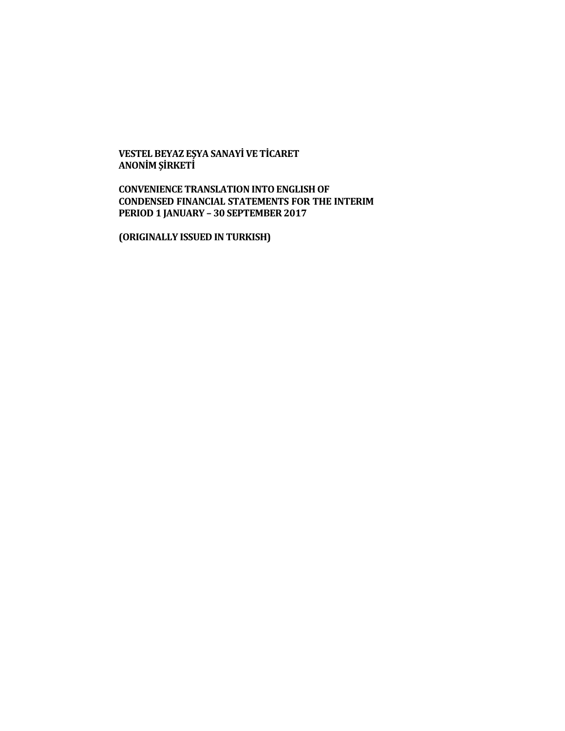**VESTEL BEYAZ EŞYA SANAYİ VE TİCARET ANONİM ŞİRKETİ**

**CONVENIENCE TRANSLATION INTO ENGLISH OF CONDENSED FINANCIAL STATEMENTS FOR THE INTERIM PERIOD 1 JANUARY – 30 SEPTEMBER 2017**

**(ORIGINALLY ISSUED IN TURKISH)**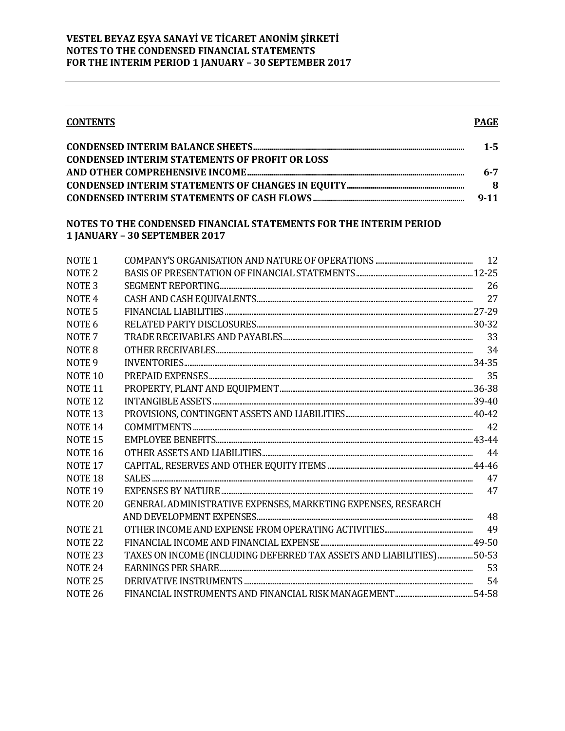#### **CONTENTS**

# **PAGE**

|                                                       | $1 - 5$ |
|-------------------------------------------------------|---------|
| <b>CONDENSED INTERIM STATEMENTS OF PROFIT OR LOSS</b> |         |
|                                                       | $6 - 7$ |
|                                                       | -8      |
|                                                       | 9-11    |

### NOTES TO THE CONDENSED FINANCIAL STATEMENTS FOR THE INTERIM PERIOD 1 JANUARY - 30 SEPTEMBER 2017

| NOTE <sub>1</sub>  |                                                                        |    |
|--------------------|------------------------------------------------------------------------|----|
| NOTE <sub>2</sub>  |                                                                        |    |
| NOTE <sub>3</sub>  |                                                                        | 26 |
| NOTE <sub>4</sub>  |                                                                        |    |
| NOTE <sub>5</sub>  |                                                                        |    |
| NOTE <sub>6</sub>  |                                                                        |    |
| NOTE <sub>7</sub>  |                                                                        | 33 |
| NOTE <sub>8</sub>  |                                                                        |    |
| NOTE <sub>9</sub>  |                                                                        |    |
| NOTE <sub>10</sub> |                                                                        |    |
| <b>NOTE 11</b>     |                                                                        |    |
| NOTE <sub>12</sub> |                                                                        |    |
| NOTE <sub>13</sub> |                                                                        |    |
| <b>NOTE 14</b>     |                                                                        |    |
| NOTE <sub>15</sub> |                                                                        |    |
| <b>NOTE 16</b>     |                                                                        | 44 |
| NOTE <sub>17</sub> |                                                                        |    |
| NOTE <sub>18</sub> |                                                                        | 47 |
| NOTE <sub>19</sub> |                                                                        |    |
| NOTE <sub>20</sub> | GENERAL ADMINISTRATIVE EXPENSES, MARKETING EXPENSES, RESEARCH          |    |
|                    |                                                                        | 48 |
| <b>NOTE 21</b>     |                                                                        | 49 |
| NOTE <sub>22</sub> |                                                                        |    |
| NOTE <sub>23</sub> | TAXES ON INCOME (INCLUDING DEFERRED TAX ASSETS AND LIABILITIES)  50-53 |    |
| NOTE <sub>24</sub> |                                                                        | 53 |
| NOTE <sub>25</sub> |                                                                        | 54 |
| <b>NOTE 26</b>     |                                                                        |    |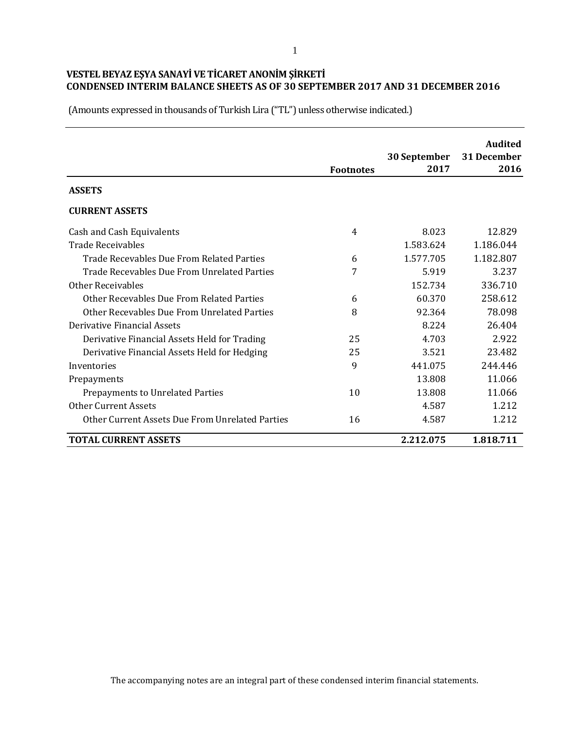|                                                 | <b>Footnotes</b> | 30 September<br>2017 | <b>Audited</b><br>31 December<br>2016 |
|-------------------------------------------------|------------------|----------------------|---------------------------------------|
| <b>ASSETS</b>                                   |                  |                      |                                       |
| <b>CURRENT ASSETS</b>                           |                  |                      |                                       |
| Cash and Cash Equivalents                       | 4                | 8.023                | 12.829                                |
| <b>Trade Receivables</b>                        |                  | 1.583.624            | 1.186.044                             |
| Trade Recevables Due From Related Parties       | 6                | 1.577.705            | 1.182.807                             |
| Trade Recevables Due From Unrelated Parties     | 7                | 5.919                | 3.237                                 |
| Other Receivables                               |                  | 152.734              | 336.710                               |
| Other Recevables Due From Related Parties       | 6                | 60.370               | 258.612                               |
| Other Recevables Due From Unrelated Parties     | 8                | 92.364               | 78.098                                |
| Derivative Financial Assets                     |                  | 8.224                | 26.404                                |
| Derivative Financial Assets Held for Trading    | 25               | 4.703                | 2.922                                 |
| Derivative Financial Assets Held for Hedging    | 25               | 3.521                | 23.482                                |
| Inventories                                     | 9                | 441.075              | 244.446                               |
| Prepayments                                     |                  | 13.808               | 11.066                                |
| Prepayments to Unrelated Parties                | 10               | 13.808               | 11.066                                |
| <b>Other Current Assets</b>                     |                  | 4.587                | 1.212                                 |
| Other Current Assets Due From Unrelated Parties | 16               | 4.587                | 1.212                                 |
| <b>TOTAL CURRENT ASSETS</b>                     |                  | 2.212.075            | 1.818.711                             |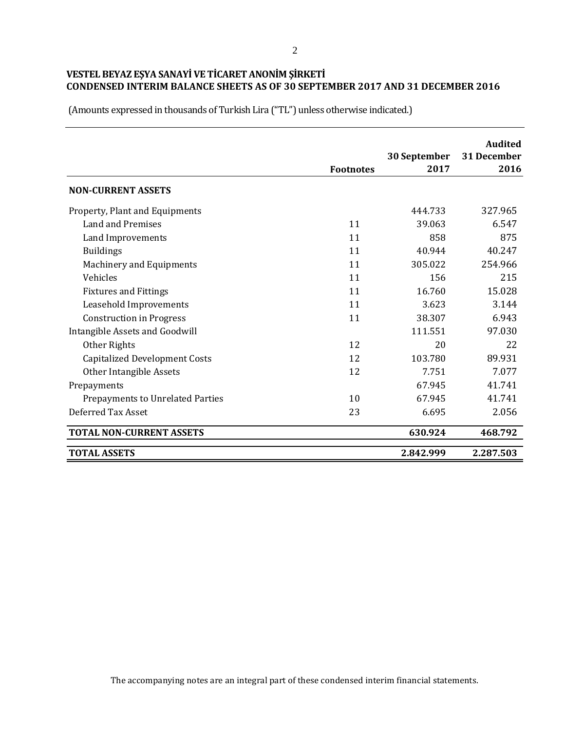**Audited Footnotes 30 September 2017 31 December 2016 NON-CURRENT ASSETS** Property, Plant and Equipments **144.733** 327.965 Land and Premises 11 39.063 6.547 Land Improvements and 2008 11 and 358 875 Buildings **11** 40.944 40.247 Machinery and Equipments 11 305.022 254.966  $V$ ehicles 215 Fixtures and Fittings 11 16.760 15.028 Leasehold Improvements 11 3.623 3.144 Construction in Progress 11 38.307 6.943 Intangible Assets and Goodwill **111.551** 97.030 Other Rights 22 20 22 Capitalized Development Costs 12 103.780 89.931 Other Intangible Assets 12 7.751 7.077 Prepayments **67.945** 41.741 Prepayments to Unrelated Parties 10 67.945 41.741 Deferred Tax Asset 23 6.695 2.056 **TOTAL NON-CURRENT ASSETS 630.924 468.792 TOTAL ASSETS 2.842.999 2.287.503**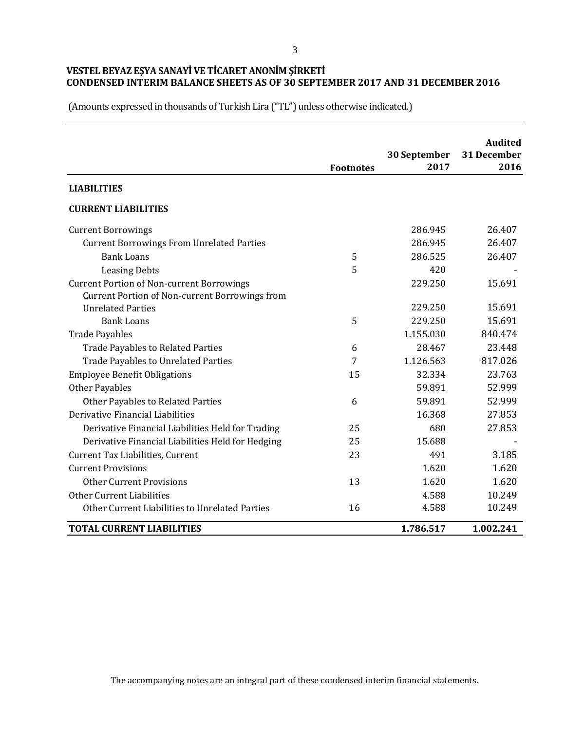|                                                   |                  |                      | <b>Audited</b>      |
|---------------------------------------------------|------------------|----------------------|---------------------|
|                                                   | <b>Footnotes</b> | 30 September<br>2017 | 31 December<br>2016 |
| <b>LIABILITIES</b>                                |                  |                      |                     |
| <b>CURRENT LIABILITIES</b>                        |                  |                      |                     |
| <b>Current Borrowings</b>                         |                  | 286.945              | 26.407              |
| <b>Current Borrowings From Unrelated Parties</b>  |                  | 286.945              | 26.407              |
| <b>Bank Loans</b>                                 | 5                | 286.525              | 26.407              |
| <b>Leasing Debts</b>                              | 5                | 420                  |                     |
| <b>Current Portion of Non-current Borrowings</b>  |                  | 229.250              | 15.691              |
| Current Portion of Non-current Borrowings from    |                  |                      |                     |
| <b>Unrelated Parties</b>                          |                  | 229.250              | 15.691              |
| <b>Bank Loans</b>                                 | 5                | 229.250              | 15.691              |
| <b>Trade Payables</b>                             |                  | 1.155.030            | 840.474             |
| <b>Trade Payables to Related Parties</b>          | 6                | 28.467               | 23.448              |
| <b>Trade Payables to Unrelated Parties</b>        | 7                | 1.126.563            | 817.026             |
| <b>Employee Benefit Obligations</b>               | 15               | 32.334               | 23.763              |
| <b>Other Payables</b>                             |                  | 59.891               | 52.999              |
| Other Payables to Related Parties                 | 6                | 59.891               | 52.999              |
| Derivative Financial Liabilities                  |                  | 16.368               | 27.853              |
| Derivative Financial Liabilities Held for Trading | 25               | 680                  | 27.853              |
| Derivative Financial Liabilities Held for Hedging | 25               | 15.688               |                     |
| Current Tax Liabilities, Current                  | 23               | 491                  | 3.185               |
| <b>Current Provisions</b>                         |                  | 1.620                | 1.620               |
| <b>Other Current Provisions</b>                   | 13               | 1.620                | 1.620               |
| Other Current Liabilities                         |                  | 4.588                | 10.249              |
| Other Current Liabilities to Unrelated Parties    | 16               | 4.588                | 10.249              |
| <b>TOTAL CURRENT LIABILITIES</b>                  |                  | 1.786.517            | 1.002.241           |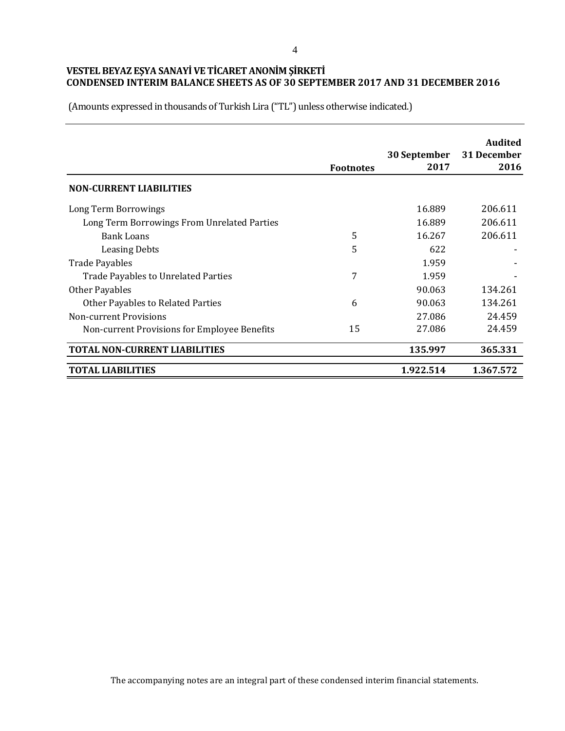|                                              | <b>Footnotes</b> | 30 September<br>2017 | Audited<br>31 December<br>2016 |
|----------------------------------------------|------------------|----------------------|--------------------------------|
| <b>NON-CURRENT LIABILITIES</b>               |                  |                      |                                |
| Long Term Borrowings                         |                  | 16.889               | 206.611                        |
| Long Term Borrowings From Unrelated Parties  |                  | 16.889               | 206.611                        |
| Bank Loans                                   | 5                | 16.267               | 206.611                        |
| <b>Leasing Debts</b>                         | 5                | 622                  |                                |
| <b>Trade Payables</b>                        |                  | 1.959                |                                |
| Trade Payables to Unrelated Parties          | 7                | 1.959                |                                |
| Other Payables                               |                  | 90.063               | 134.261                        |
| Other Payables to Related Parties            | 6                | 90.063               | 134.261                        |
| <b>Non-current Provisions</b>                |                  | 27.086               | 24.459                         |
| Non-current Provisions for Employee Benefits | 15               | 27.086               | 24.459                         |
| <b>TOTAL NON-CURRENT LIABILITIES</b>         |                  | 135.997              | 365.331                        |
| <b>TOTAL LIABILITIES</b>                     |                  | 1.922.514            | 1.367.572                      |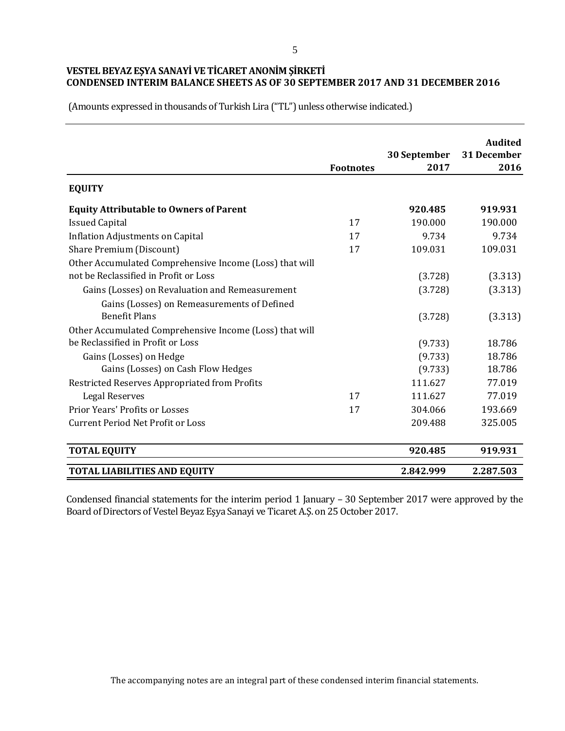# **VESTEL BEYAZ EŞYA SANAYİ VE TİCARET ANONİM ŞİRKETİ CONDENSED INTERIM BALANCE SHEETS AS OF 30 SEPTEMBER 2017 AND 31 DECEMBER 2016**

(Amounts expressed in thousands of Turkish Lira ("TL") unless otherwise indicated.)

|                                                         | <b>Footnotes</b> | 30 September<br>2017 | <b>Audited</b><br>31 December<br>2016 |
|---------------------------------------------------------|------------------|----------------------|---------------------------------------|
| <b>EQUITY</b>                                           |                  |                      |                                       |
| <b>Equity Attributable to Owners of Parent</b>          |                  | 920.485              | 919.931                               |
| <b>Issued Capital</b>                                   | 17               | 190.000              | 190.000                               |
| <b>Inflation Adjustments on Capital</b>                 | 17               | 9.734                | 9.734                                 |
| Share Premium (Discount)                                | 17               | 109.031              | 109.031                               |
| Other Accumulated Comprehensive Income (Loss) that will |                  |                      |                                       |
| not be Reclassified in Profit or Loss                   |                  | (3.728)              | (3.313)                               |
| Gains (Losses) on Revaluation and Remeasurement         |                  | (3.728)              | (3.313)                               |
| Gains (Losses) on Remeasurements of Defined             |                  |                      |                                       |
| <b>Benefit Plans</b>                                    |                  | (3.728)              | (3.313)                               |
| Other Accumulated Comprehensive Income (Loss) that will |                  |                      |                                       |
| be Reclassified in Profit or Loss                       |                  | (9.733)              | 18.786                                |
| Gains (Losses) on Hedge                                 |                  | (9.733)              | 18.786                                |
| Gains (Losses) on Cash Flow Hedges                      |                  | (9.733)              | 18.786                                |
| Restricted Reserves Appropriated from Profits           |                  | 111.627              | 77.019                                |
| <b>Legal Reserves</b>                                   | 17               | 111.627              | 77.019                                |
| <b>Prior Years' Profits or Losses</b>                   | 17               | 304.066              | 193.669                               |
| <b>Current Period Net Profit or Loss</b>                |                  | 209.488              | 325.005                               |
| <b>TOTAL EQUITY</b>                                     |                  | 920.485              | 919.931                               |
| <b>TOTAL LIABILITIES AND EQUITY</b>                     |                  | 2.842.999            | 2.287.503                             |

Condensed financial statements for the interim period 1 January – 30 September 2017 were approved by the Board of Directors of Vestel Beyaz Eşya Sanayi ve Ticaret A.Ş. on 25 October 2017.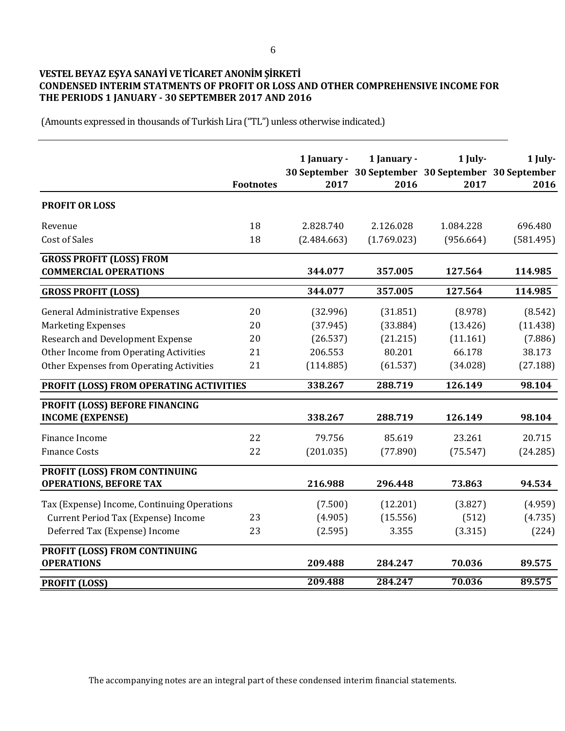# **VESTEL BEYAZ EŞYA SANAYİ VE TİCARET ANONİM ŞİRKETİ CONDENSED INTERIM STATMENTS OF PROFIT OR LOSS AND OTHER COMPREHENSIVE INCOME FOR THE PERIODS 1 JANUARY - 30 SEPTEMBER 2017 AND 2016**

|                                                                 | <b>Footnotes</b> | 1 January -<br>2017 | 1 January -<br>30 September 30 September 30 September 30 September<br>2016 | 1 July-<br>2017 | 1 July-<br>2016 |
|-----------------------------------------------------------------|------------------|---------------------|----------------------------------------------------------------------------|-----------------|-----------------|
| <b>PROFIT OR LOSS</b>                                           |                  |                     |                                                                            |                 |                 |
| Revenue                                                         | 18               | 2.828.740           | 2.126.028                                                                  | 1.084.228       | 696.480         |
| <b>Cost of Sales</b>                                            | 18               | (2.484.663)         | (1.769.023)                                                                | (956.664)       | (581.495)       |
| <b>GROSS PROFIT (LOSS) FROM</b><br><b>COMMERCIAL OPERATIONS</b> |                  | 344.077             | 357.005                                                                    | 127.564         | 114.985         |
| <b>GROSS PROFIT (LOSS)</b>                                      |                  | 344.077             | 357.005                                                                    | 127.564         | 114.985         |
| <b>General Administrative Expenses</b>                          | 20               | (32.996)            | (31.851)                                                                   | (8.978)         | (8.542)         |
| <b>Marketing Expenses</b>                                       | 20               | (37.945)            | (33.884)                                                                   | (13.426)        | (11.438)        |
| Research and Development Expense                                | 20               | (26.537)            | (21.215)                                                                   | (11.161)        | (7.886)         |
| Other Income from Operating Activities                          | 21               | 206.553             | 80.201                                                                     | 66.178          | 38.173          |
| Other Expenses from Operating Activities                        | 21               | (114.885)           | (61.537)                                                                   | (34.028)        | (27.188)        |
| PROFIT (LOSS) FROM OPERATING ACTIVITIES                         |                  | 338.267             | 288.719                                                                    | 126.149         | 98.104          |
| PROFIT (LOSS) BEFORE FINANCING<br><b>INCOME (EXPENSE)</b>       |                  | 338.267             | 288.719                                                                    | 126.149         | 98.104          |
| Finance Income                                                  | 22               | 79.756              | 85.619                                                                     | 23.261          | 20.715          |
| <b>Finance Costs</b>                                            | 22               | (201.035)           | (77.890)                                                                   | (75.547)        | (24.285)        |
| PROFIT (LOSS) FROM CONTINUING<br><b>OPERATIONS, BEFORE TAX</b>  |                  | 216.988             | 296.448                                                                    | 73.863          | 94.534          |
| Tax (Expense) Income, Continuing Operations                     |                  | (7.500)             | (12.201)                                                                   | (3.827)         | (4.959)         |
| Current Period Tax (Expense) Income                             | 23               | (4.905)             | (15.556)                                                                   | (512)           | (4.735)         |
| Deferred Tax (Expense) Income                                   | 23               | (2.595)             | 3.355                                                                      | (3.315)         | (224)           |
| PROFIT (LOSS) FROM CONTINUING<br><b>OPERATIONS</b>              |                  | 209.488             | 284.247                                                                    | 70.036          | 89.575          |
| <b>PROFIT (LOSS)</b>                                            |                  | 209.488             | 284.247                                                                    | 70.036          | 89.575          |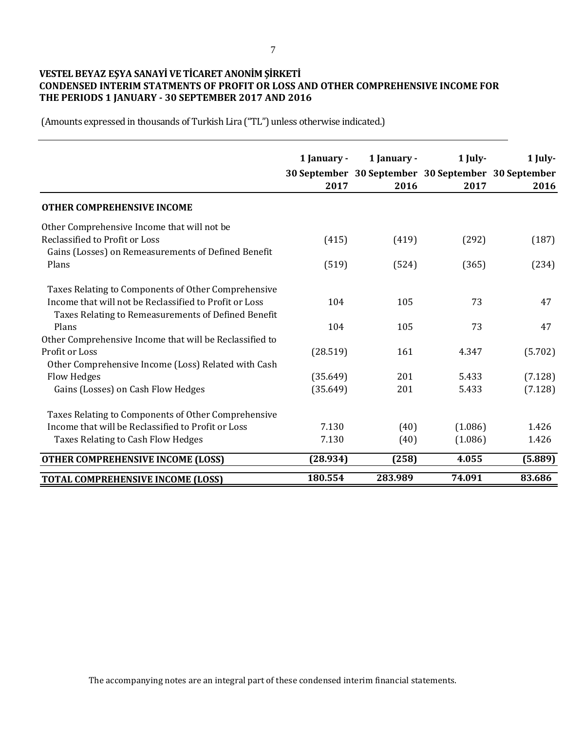# **VESTEL BEYAZ EŞYA SANAYİ VE TİCARET ANONİM ŞİRKETİ CONDENSED INTERIM STATMENTS OF PROFIT OR LOSS AND OTHER COMPREHENSIVE INCOME FOR THE PERIODS 1 JANUARY - 30 SEPTEMBER 2017 AND 2016**

|                                                                                                                                                                      | 1 January -<br>2017 | 1 January -<br>30 September 30 September 30 September 30 September<br>2016 | $1$ July-<br>2017 | 1 July-<br>2016 |
|----------------------------------------------------------------------------------------------------------------------------------------------------------------------|---------------------|----------------------------------------------------------------------------|-------------------|-----------------|
| <b>OTHER COMPREHENSIVE INCOME</b>                                                                                                                                    |                     |                                                                            |                   |                 |
| Other Comprehensive Income that will not be<br>Reclassified to Profit or Loss                                                                                        | (415)               | (419)                                                                      | (292)             | (187)           |
| Gains (Losses) on Remeasurements of Defined Benefit<br>Plans                                                                                                         | (519)               | (524)                                                                      | (365)             | (234)           |
| Taxes Relating to Components of Other Comprehensive<br>Income that will not be Reclassified to Profit or Loss<br>Taxes Relating to Remeasurements of Defined Benefit | 104                 | 105                                                                        | 73                | 47              |
| Plans                                                                                                                                                                | 104                 | 105                                                                        | 73                | 47              |
| Other Comprehensive Income that will be Reclassified to<br>Profit or Loss<br>Other Comprehensive Income (Loss) Related with Cash                                     | (28.519)            | 161                                                                        | 4.347             | (5.702)         |
| Flow Hedges                                                                                                                                                          | (35.649)            | 201                                                                        | 5.433             | (7.128)         |
| Gains (Losses) on Cash Flow Hedges                                                                                                                                   | (35.649)            | 201                                                                        | 5.433             | (7.128)         |
| Taxes Relating to Components of Other Comprehensive                                                                                                                  |                     |                                                                            |                   |                 |
| Income that will be Reclassified to Profit or Loss                                                                                                                   | 7.130               | (40)                                                                       | (1.086)           | 1.426           |
| Taxes Relating to Cash Flow Hedges                                                                                                                                   | 7.130               | (40)                                                                       | (1.086)           | 1.426           |
| <b>OTHER COMPREHENSIVE INCOME (LOSS)</b>                                                                                                                             | (28.934)            | (258)                                                                      | 4.055             | (5.889)         |
| <b>TOTAL COMPREHENSIVE INCOME (LOSS)</b>                                                                                                                             | 180.554             | 283.989                                                                    | 74.091            | 83.686          |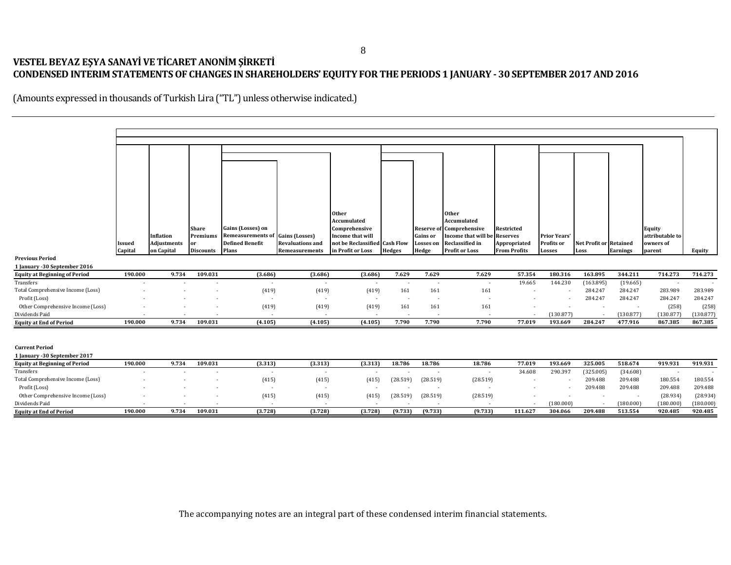#### **VESTEL BEYAZ EŞYA SANAYİ VE TİCARET ANONİM ŞİRKETİ CONDENSED INTERIM STATEMENTS OF CHANGES IN SHAREHOLDERS' EQUITY FOR THE PERIODS 1 JANUARY - 30 SEPTEMBER 2017 AND 2016**

(Amounts expressed in thousands of Turkish Lira ("TL") unless otherwise indicated.)

|                                      |               |                    |                  |                                         |                         | Other<br>Accumulated          |               |                  | <b>Other</b><br>Accumulated     |                          |                     |                               |                 |                          |           |
|--------------------------------------|---------------|--------------------|------------------|-----------------------------------------|-------------------------|-------------------------------|---------------|------------------|---------------------------------|--------------------------|---------------------|-------------------------------|-----------------|--------------------------|-----------|
|                                      |               |                    | <b>Share</b>     | Gains (Losses) on                       |                         | Comprehensive                 |               |                  | <b>Reserve of Comprehensive</b> | Restricted               |                     |                               |                 | Equity                   |           |
|                                      |               | Inflation          | Premiums         | <b>Remeasurements of Gains (Losses)</b> |                         | Income that will              |               | Gains or         | Income that will be             | Reserves                 | <b>Prior Years'</b> |                               |                 | attributable to          |           |
|                                      | <b>Issued</b> | <b>Adjustments</b> | or               | <b>Defined Benefit</b>                  | <b>Revaluations and</b> | not be Reclassified Cash Flow |               | <b>Losses</b> on | Reclassified in                 | Appropriated             | Profits or          | <b>Net Profit or Retained</b> |                 | owners of                |           |
|                                      | Capital       | on Capital         | <b>Discounts</b> | Plans                                   | Remeasurements          | in Profit or Loss             | <b>Hedges</b> | Hedge            | <b>Profit or Loss</b>           | <b>From Profits</b>      | Losses              | Loss                          | <b>Earnings</b> | parent                   | Equity    |
| <b>Previous Period</b>               |               |                    |                  |                                         |                         |                               |               |                  |                                 |                          |                     |                               |                 |                          |           |
| 1 January -30 September 2016         |               |                    |                  |                                         |                         |                               |               |                  |                                 |                          |                     |                               |                 |                          |           |
| <b>Equity at Beginning of Period</b> | 190.000       | 9.734              | 109.031          | (3.686)                                 | (3.686)                 | (3.686)                       | 7.629         | 7.629            | 7.629                           | 57.354                   | 180.316             | 163.895                       | 344.211         | 714.273                  | 714.273   |
| Transfers                            |               |                    |                  | $\sim$                                  | $\sim$                  | $\sim$                        |               |                  | $\sim$                          | 19.665                   | 144.230             | (163.895)                     | (19.665)        |                          |           |
| Total Comprehensive Income (Loss)    |               |                    |                  | (419)                                   | (419)                   | (419)                         | 161           | 161              | 161                             |                          |                     | 284.247                       | 284.247         | 283.989                  | 283.989   |
| Profit (Loss)                        |               |                    |                  | $\sim$                                  | $\sim$                  | $\sim$                        | $\sim$        | $\overline{a}$   |                                 |                          |                     | 284.247                       | 284.247         | 284.247                  | 284.247   |
| Other Comprehensive Income (Loss)    |               |                    |                  | (419)                                   | (419)                   | (419)                         | 161           | 161              | 161                             |                          |                     |                               |                 | (258)                    | (258)     |
| Dividends Paid                       |               |                    |                  | $\sim$                                  | $\sim$                  | $\sim$                        |               |                  |                                 | $\overline{a}$           | (130.877)           | ٠.                            | (130.877)       | (130.877)                | (130.877) |
| <b>Equity at End of Period</b>       | 190.000       | 9.734              | 109.031          | (4.105)                                 | (4.105)                 | (4.105)                       | 7.790         | 7.790            | 7.790                           | 77.019                   | 193.669             | 284.247                       | 477.916         | 867.385                  | 867.385   |
|                                      |               |                    |                  |                                         |                         |                               |               |                  |                                 |                          |                     |                               |                 |                          |           |
|                                      |               |                    |                  |                                         |                         |                               |               |                  |                                 |                          |                     |                               |                 |                          |           |
| <b>Current Period</b>                |               |                    |                  |                                         |                         |                               |               |                  |                                 |                          |                     |                               |                 |                          |           |
| 1 January -30 September 2017         |               |                    |                  |                                         |                         |                               |               |                  |                                 |                          |                     |                               |                 |                          |           |
| <b>Equity at Beginning of Period</b> | 190.000       | 9.734              | 109.031          | (3.313)                                 | (3.313)                 | (3.313)                       | 18.786        | 18.786           | 18.786                          | 77.019                   | 193.669             | 325.005                       | 518.674         | 919.931                  | 919.931   |
| Transfers                            |               |                    |                  | $\sim$                                  | $\sim$                  |                               |               | $\sim$           | $\sim$                          | 34.608                   | 290.397             | (325.005)                     | (34.608)        | $\overline{\phantom{a}}$ |           |
| Total Comprehensive Income (Loss)    |               |                    |                  | (415)                                   | (415)                   | (415)                         | (28.519)      | (28.519)         | (28.519)                        |                          |                     | 209.488                       | 209.488         | 180.554                  | 180.554   |
| Profit (Loss)                        |               |                    |                  | $\sim$                                  | $\sim$                  | $\sim$                        |               |                  | $\sim$                          |                          |                     | 209.488                       | 209.488         | 209.488                  | 209.488   |
| Other Comprehensive Income (Loss)    |               |                    |                  | (415)                                   | (415)                   | (415)                         | (28.519)      | (28.519)         | (28.519)                        |                          |                     | $\overline{\phantom{a}}$      | $\sim$          | (28.934)                 | (28.934)  |
| Dividends Paid                       |               |                    |                  |                                         |                         |                               |               |                  |                                 | $\overline{\phantom{a}}$ | (180.000)           |                               | (180.000)       | (180.000)                | (180.000) |
| <b>Equity at End of Period</b>       | 190.000       | 9.734              | 109.031          | (3.728)                                 | (3.728)                 | (3.728)                       | (9.733)       | (9.733)          | (9.733)                         | 111.627                  | 304.066             | 209.488                       | 513.554         | 920.485                  | 920.485   |

The accompanying notes are an integral part of these condensed interim financial statements.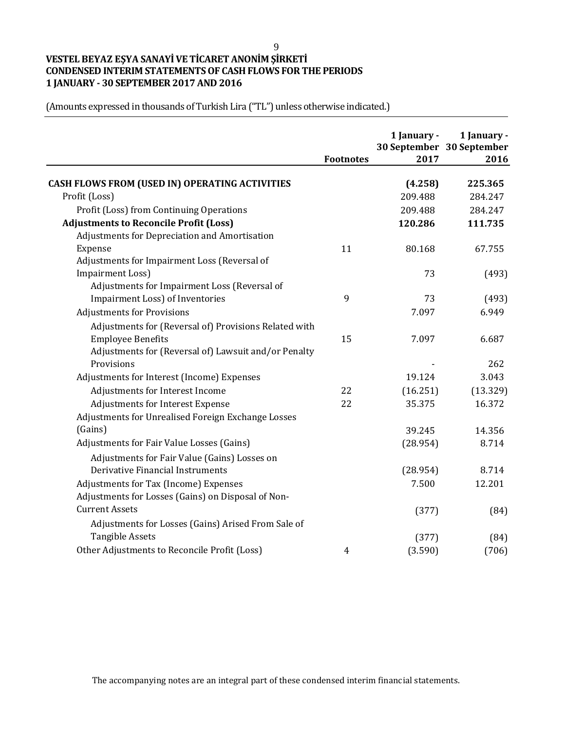# **VESTEL BEYAZ EŞYA SANAYİ VE TİCARET ANONİM ŞİRKETİ CONDENSED INTERIM STATEMENTS OF CASH FLOWS FOR THE PERIODS 1 JANUARY - 30 SEPTEMBER 2017 AND 2016**

(Amounts expressed in thousands of Turkish Lira ("TL") unless otherwise indicated.)

|                                                       | <b>Footnotes</b> | 1 January -<br>2017 | 1 January -<br>30 September 30 September<br>2016 |
|-------------------------------------------------------|------------------|---------------------|--------------------------------------------------|
| CASH FLOWS FROM (USED IN) OPERATING ACTIVITIES        |                  | (4.258)             | 225.365                                          |
| Profit (Loss)                                         |                  | 209.488             | 284.247                                          |
| Profit (Loss) from Continuing Operations              |                  | 209.488             | 284.247                                          |
| <b>Adjustments to Reconcile Profit (Loss)</b>         |                  | 120.286             | 111.735                                          |
| Adjustments for Depreciation and Amortisation         |                  |                     |                                                  |
| Expense                                               | 11               | 80.168              | 67.755                                           |
| Adjustments for Impairment Loss (Reversal of          |                  |                     |                                                  |
| <b>Impairment Loss)</b>                               |                  | 73                  | (493)                                            |
| Adjustments for Impairment Loss (Reversal of          |                  |                     |                                                  |
| Impairment Loss) of Inventories                       | 9                | 73                  | (493)                                            |
| <b>Adjustments for Provisions</b>                     |                  | 7.097               | 6.949                                            |
| Adjustments for (Reversal of) Provisions Related with |                  |                     |                                                  |
| <b>Employee Benefits</b>                              | 15               | 7.097               | 6.687                                            |
| Adjustments for (Reversal of) Lawsuit and/or Penalty  |                  |                     |                                                  |
| Provisions                                            |                  |                     | 262                                              |
| Adjustments for Interest (Income) Expenses            |                  | 19.124              | 3.043                                            |
| Adjustments for Interest Income                       | 22               | (16.251)            | (13.329)                                         |
| Adjustments for Interest Expense                      | 22               | 35.375              | 16.372                                           |
| Adjustments for Unrealised Foreign Exchange Losses    |                  |                     |                                                  |
| (Gains)                                               |                  | 39.245              | 14.356                                           |
| Adjustments for Fair Value Losses (Gains)             |                  | (28.954)            | 8.714                                            |
| Adjustments for Fair Value (Gains) Losses on          |                  |                     |                                                  |
| Derivative Financial Instruments                      |                  | (28.954)            | 8.714                                            |
| Adjustments for Tax (Income) Expenses                 |                  | 7.500               | 12.201                                           |
| Adjustments for Losses (Gains) on Disposal of Non-    |                  |                     |                                                  |
| <b>Current Assets</b>                                 |                  | (377)               | (84)                                             |
| Adjustments for Losses (Gains) Arised From Sale of    |                  |                     |                                                  |
| <b>Tangible Assets</b>                                |                  | (377)               | (84)                                             |
| Other Adjustments to Reconcile Profit (Loss)          | 4                | (3.590)             | (706)                                            |

The accompanying notes are an integral part of these condensed interim financial statements.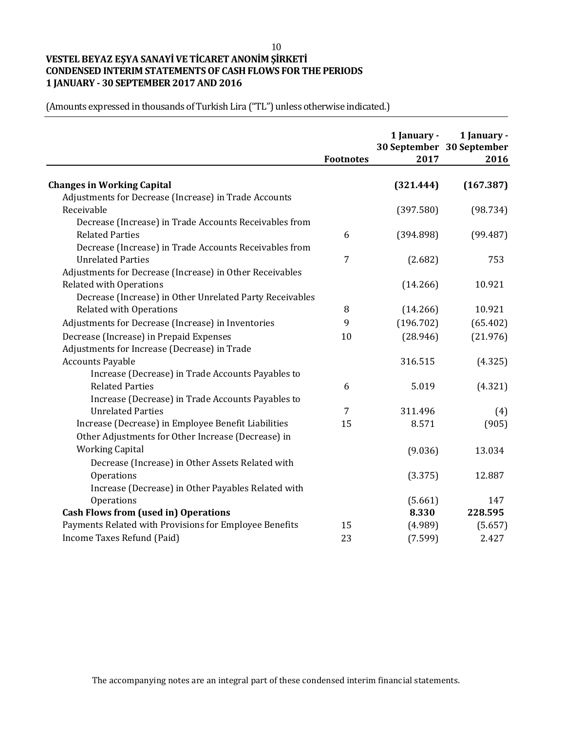# **VESTEL BEYAZ EŞYA SANAYİ VE TİCARET ANONİM ŞİRKETİ CONDENSED INTERIM STATEMENTS OF CASH FLOWS FOR THE PERIODS 1 JANUARY - 30 SEPTEMBER 2017 AND 2016**

|                                                          | <b>Footnotes</b> | 1 January -<br>2017 | 1 January -<br>30 September 30 September<br>2016 |
|----------------------------------------------------------|------------------|---------------------|--------------------------------------------------|
| <b>Changes in Working Capital</b>                        |                  | (321.444)           | (167.387)                                        |
| Adjustments for Decrease (Increase) in Trade Accounts    |                  |                     |                                                  |
| Receivable                                               |                  | (397.580)           | (98.734)                                         |
| Decrease (Increase) in Trade Accounts Receivables from   |                  |                     |                                                  |
| <b>Related Parties</b>                                   | 6                | (394.898)           | (99.487)                                         |
| Decrease (Increase) in Trade Accounts Receivables from   |                  |                     |                                                  |
| <b>Unrelated Parties</b>                                 | 7                | (2.682)             | 753                                              |
| Adjustments for Decrease (Increase) in Other Receivables |                  |                     |                                                  |
| <b>Related with Operations</b>                           |                  | (14.266)            | 10.921                                           |
| Decrease (Increase) in Other Unrelated Party Receivables |                  |                     |                                                  |
| <b>Related with Operations</b>                           | 8                | (14.266)            | 10.921                                           |
| Adjustments for Decrease (Increase) in Inventories       | 9                | (196.702)           | (65.402)                                         |
| Decrease (Increase) in Prepaid Expenses                  | 10               | (28.946)            | (21.976)                                         |
| Adjustments for Increase (Decrease) in Trade             |                  |                     |                                                  |
| <b>Accounts Payable</b>                                  |                  | 316.515             | (4.325)                                          |
| Increase (Decrease) in Trade Accounts Payables to        |                  |                     |                                                  |
| <b>Related Parties</b>                                   | 6                | 5.019               | (4.321)                                          |
| Increase (Decrease) in Trade Accounts Payables to        |                  |                     |                                                  |
| <b>Unrelated Parties</b>                                 | 7                | 311.496             | (4)                                              |
| Increase (Decrease) in Employee Benefit Liabilities      | 15               | 8.571               | (905)                                            |
| Other Adjustments for Other Increase (Decrease) in       |                  |                     |                                                  |
| <b>Working Capital</b>                                   |                  | (9.036)             | 13.034                                           |
| Decrease (Increase) in Other Assets Related with         |                  |                     |                                                  |
| Operations                                               |                  | (3.375)             | 12.887                                           |
| Increase (Decrease) in Other Payables Related with       |                  |                     |                                                  |
| Operations                                               |                  | (5.661)             | 147                                              |
| <b>Cash Flows from (used in) Operations</b>              |                  | 8.330               | 228.595                                          |
| Payments Related with Provisions for Employee Benefits   | 15               | (4.989)             | (5.657)                                          |
| Income Taxes Refund (Paid)                               | 23               | (7.599)             | 2.427                                            |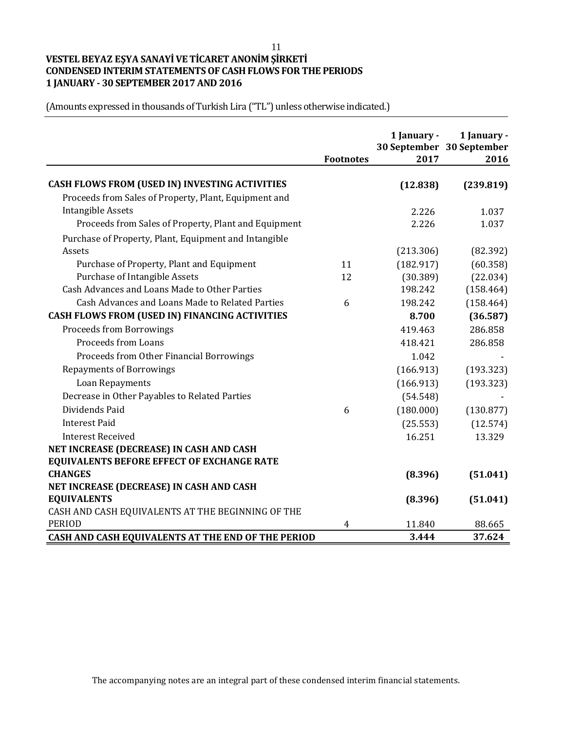# **VESTEL BEYAZ EŞYA SANAYİ VE TİCARET ANONİM ŞİRKETİ CONDENSED INTERIM STATEMENTS OF CASH FLOWS FOR THE PERIODS 1 JANUARY - 30 SEPTEMBER 2017 AND 2016**

|                                                       | <b>Footnotes</b> | 1 January -<br>2017 | 1 January -<br>30 September 30 September<br>2016 |
|-------------------------------------------------------|------------------|---------------------|--------------------------------------------------|
| CASH FLOWS FROM (USED IN) INVESTING ACTIVITIES        |                  | (12.838)            | (239.819)                                        |
| Proceeds from Sales of Property, Plant, Equipment and |                  |                     |                                                  |
| <b>Intangible Assets</b>                              |                  | 2.226               | 1.037                                            |
| Proceeds from Sales of Property, Plant and Equipment  |                  | 2.226               | 1.037                                            |
| Purchase of Property, Plant, Equipment and Intangible |                  |                     |                                                  |
| Assets                                                |                  | (213.306)           | (82.392)                                         |
| Purchase of Property, Plant and Equipment             | 11               | (182.917)           | (60.358)                                         |
| Purchase of Intangible Assets                         | 12               | (30.389)            | (22.034)                                         |
| Cash Advances and Loans Made to Other Parties         |                  | 198.242             | (158.464)                                        |
| Cash Advances and Loans Made to Related Parties       | 6                | 198.242             | (158.464)                                        |
| CASH FLOWS FROM (USED IN) FINANCING ACTIVITIES        |                  | 8.700               | (36.587)                                         |
| <b>Proceeds from Borrowings</b>                       |                  | 419.463             | 286.858                                          |
| <b>Proceeds from Loans</b>                            |                  | 418.421             | 286.858                                          |
| Proceeds from Other Financial Borrowings              |                  | 1.042               |                                                  |
| <b>Repayments of Borrowings</b>                       |                  | (166.913)           | (193.323)                                        |
| Loan Repayments                                       |                  | (166.913)           | (193.323)                                        |
| Decrease in Other Payables to Related Parties         |                  | (54.548)            |                                                  |
| Dividends Paid                                        | 6                | (180.000)           | (130.877)                                        |
| <b>Interest Paid</b>                                  |                  | (25.553)            | (12.574)                                         |
| <b>Interest Received</b>                              |                  | 16.251              | 13.329                                           |
| NET INCREASE (DECREASE) IN CASH AND CASH              |                  |                     |                                                  |
| <b>EQUIVALENTS BEFORE EFFECT OF EXCHANGE RATE</b>     |                  |                     |                                                  |
| <b>CHANGES</b>                                        |                  | (8.396)             | (51.041)                                         |
| NET INCREASE (DECREASE) IN CASH AND CASH              |                  |                     |                                                  |
| <b>EQUIVALENTS</b>                                    |                  | (8.396)             | (51.041)                                         |
| CASH AND CASH EQUIVALENTS AT THE BEGINNING OF THE     |                  |                     |                                                  |
| <b>PERIOD</b>                                         | 4                | 11.840              | 88.665                                           |
| CASH AND CASH EQUIVALENTS AT THE END OF THE PERIOD    |                  | 3.444               | 37.624                                           |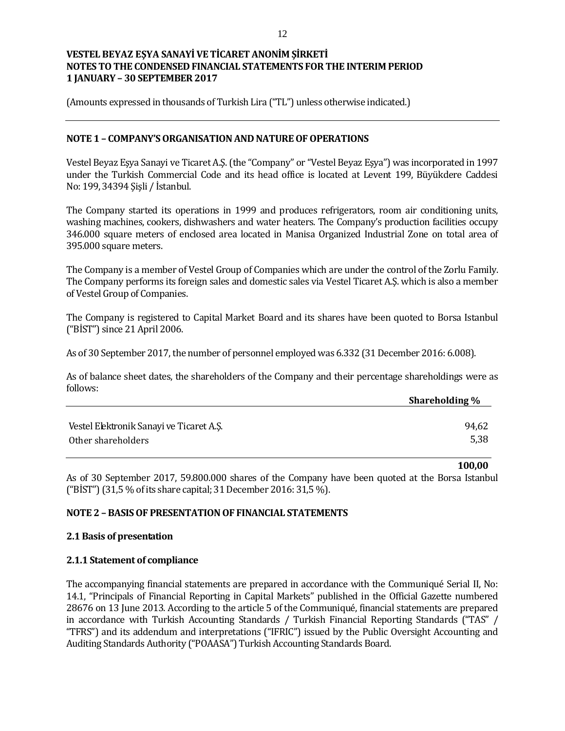(Amounts expressed in thousands of Turkish Lira ("TL") unless otherwise indicated.)

#### **NOTE 1 – COMPANY'S ORGANISATION AND NATURE OF OPERATIONS**

Vestel Beyaz Eşya Sanayi ve Ticaret A.Ş. (the "Company" or "Vestel Beyaz Eşya") was incorporated in 1997 under the Turkish Commercial Code and its head office is located at Levent 199, Büyükdere Caddesi No: 199, 34394 Şişli / İstanbul.

The Company started its operations in 1999 and produces refrigerators, room air conditioning units, washing machines, cookers, dishwashers and water heaters. The Company's production facilities occupy 346.000 square meters of enclosed area located in Manisa Organized Industrial Zone on total area of 395.000 square meters.

The Company is a member of Vestel Group of Companies which are under the control of the Zorlu Family. The Company performs its foreign sales and domestic sales via Vestel Ticaret A.Ş. which is also a member of Vestel Group of Companies.

The Company is registered to Capital Market Board and its shares have been quoted to Borsa Istanbul ("BİST") since 21 April 2006.

As of 30 September 2017, the number of personnel employed was 6.332 (31 December 2016: 6.008).

As of balance sheet dates, the shareholders of the Company and their percentage shareholdings were as follows:

|                                          | <b>Shareholding %</b> |
|------------------------------------------|-----------------------|
|                                          |                       |
| Vestel Elektronik Sanayi ve Ticaret A.S. | 94,62                 |
| Other shareholders                       | 5,38                  |

**100,00**

As of 30 September 2017, 59.800.000 shares of the Company have been quoted at the Borsa Istanbul ("BİST") (31,5 % of its share capital; 31 December 2016: 31,5 %).

#### **NOTE 2 – BASIS OF PRESENTATION OF FINANCIAL STATEMENTS**

#### **2.1 Basis of presentation**

#### **2.1.1 Statement of compliance**

The accompanying financial statements are prepared in accordance with the Communiqué Serial II, No: 14.1, "Principals of Financial Reporting in Capital Markets" published in the Official Gazette numbered 28676 on 13 June 2013. According to the article 5 of the Communiqué, financial statements are prepared in accordance with Turkish Accounting Standards / Turkish Financial Reporting Standards ("TAS" / "TFRS") and its addendum and interpretations ("IFRIC") issued by the Public Oversight Accounting and Auditing Standards Authority ("POAASA") Turkish Accounting Standards Board.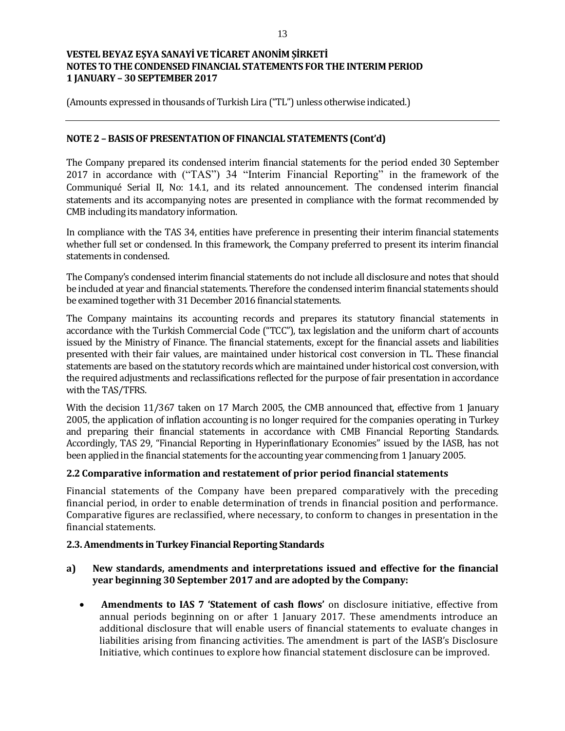(Amounts expressed in thousands of Turkish Lira ("TL") unless otherwise indicated.)

### **NOTE 2 – BASIS OF PRESENTATION OF FINANCIAL STATEMENTS (Cont'd)**

The Company prepared its condensed interim financial statements for the period ended 30 September 2017 in accordance with ("TAS") 34 "Interim Financial Reporting" in the framework of the Communiqué Serial II, No: 14.1, and its related announcement. The condensed interim financial statements and its accompanying notes are presented in compliance with the format recommended by CMB including its mandatory information.

In compliance with the TAS 34, entities have preference in presenting their interim financial statements whether full set or condensed. In this framework, the Company preferred to present its interim financial statements in condensed.

The Company's condensed interim financial statements do not include all disclosure and notes that should be included at year and financial statements. Therefore the condensed interim financial statements should be examined together with 31 December 2016 financial statements.

The Company maintains its accounting records and prepares its statutory financial statements in accordance with the Turkish Commercial Code ("TCC"), tax legislation and the uniform chart of accounts issued by the Ministry of Finance. The financial statements, except for the financial assets and liabilities presented with their fair values, are maintained under historical cost conversion in TL. These financial statements are based on the statutory records which are maintained under historical cost conversion, with the required adjustments and reclassifications reflected for the purpose of fair presentation in accordance with the TAS/TFRS.

With the decision 11/367 taken on 17 March 2005, the CMB announced that, effective from 1 January 2005, the application of inflation accounting is no longer required for the companies operating in Turkey and preparing their financial statements in accordance with CMB Financial Reporting Standards. Accordingly, TAS 29, "Financial Reporting in Hyperinflationary Economies" issued by the IASB, has not been applied in the financial statements for the accounting year commencing from 1 January 2005.

#### **2.2 Comparative information and restatement of prior period financial statements**

Financial statements of the Company have been prepared comparatively with the preceding financial period, in order to enable determination of trends in financial position and performance. Comparative figures are reclassified, where necessary, to conform to changes in presentation in the financial statements.

### **2.3. Amendments in Turkey Financial Reporting Standards**

### **a) New standards, amendments and interpretations issued and effective for the financial year beginning 30 September 2017 and are adopted by the Company:**

 **Amendments to IAS 7 'Statement of cash flows'** on disclosure initiative, effective from annual periods beginning on or after 1 January 2017. These amendments introduce an additional disclosure that will enable users of financial statements to evaluate changes in liabilities arising from financing activities. The amendment is part of the IASB's Disclosure Initiative, which continues to explore how financial statement disclosure can be improved.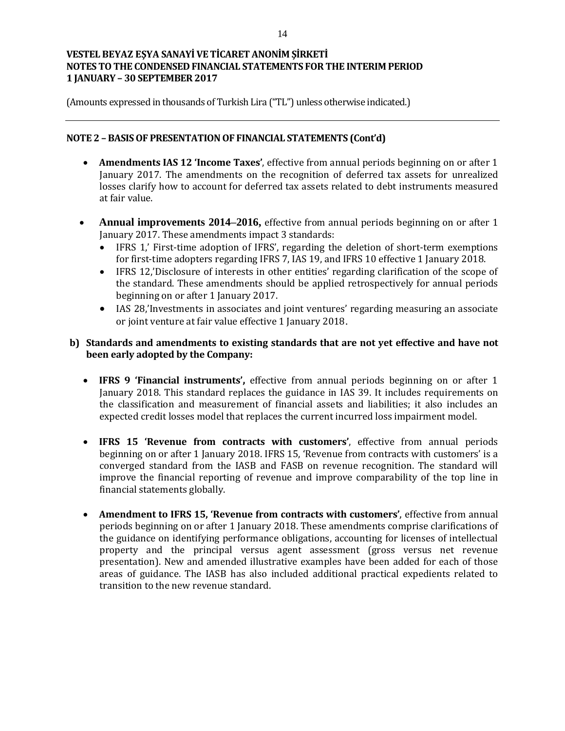(Amounts expressed in thousands of Turkish Lira ("TL") unless otherwise indicated.)

### **NOTE 2 – BASIS OF PRESENTATION OF FINANCIAL STATEMENTS (Cont'd)**

- **Amendments IAS 12 'Income Taxes'**, effective from annual periods beginning on or after 1 January 2017. The amendments on the recognition of deferred tax assets for unrealized losses clarify how to account for deferred tax assets related to debt instruments measured at fair value.
- **Annual improvements 2014–2016,** effective from annual periods beginning on or after 1 January 2017. These amendments impact 3 standards:
	- IFRS 1,' First-time adoption of IFRS', regarding the deletion of short-term exemptions for first-time adopters regarding IFRS 7, IAS 19, and IFRS 10 effective 1 January 2018.
	- IFRS 12,'Disclosure of interests in other entities' regarding clarification of the scope of the standard. These amendments should be applied retrospectively for annual periods beginning on or after 1 January 2017.
	- IAS 28,'Investments in associates and joint ventures' regarding measuring an associate or joint venture at fair value effective 1 January 2018.

### **b) Standards and amendments to existing standards that are not yet effective and have not been early adopted by the Company:**

- **IFRS 9 'Financial instruments',** effective from annual periods beginning on or after 1 January 2018. This standard replaces the guidance in IAS 39. It includes requirements on the classification and measurement of financial assets and liabilities; it also includes an expected credit losses model that replaces the current incurred loss impairment model.
- **IFRS 15 'Revenue from contracts with customers'**, effective from annual periods beginning on or after 1 January 2018. IFRS 15, 'Revenue from contracts with customers' is a converged standard from the IASB and FASB on revenue recognition. The standard will improve the financial reporting of revenue and improve comparability of the top line in financial statements globally.
- **Amendment to IFRS 15, 'Revenue from contracts with customers'**, effective from annual periods beginning on or after 1 January 2018. These amendments comprise clarifications of the guidance on identifying performance obligations, accounting for licenses of intellectual property and the principal versus agent assessment (gross versus net revenue presentation). New and amended illustrative examples have been added for each of those areas of guidance. The IASB has also included additional practical expedients related to transition to the new revenue standard.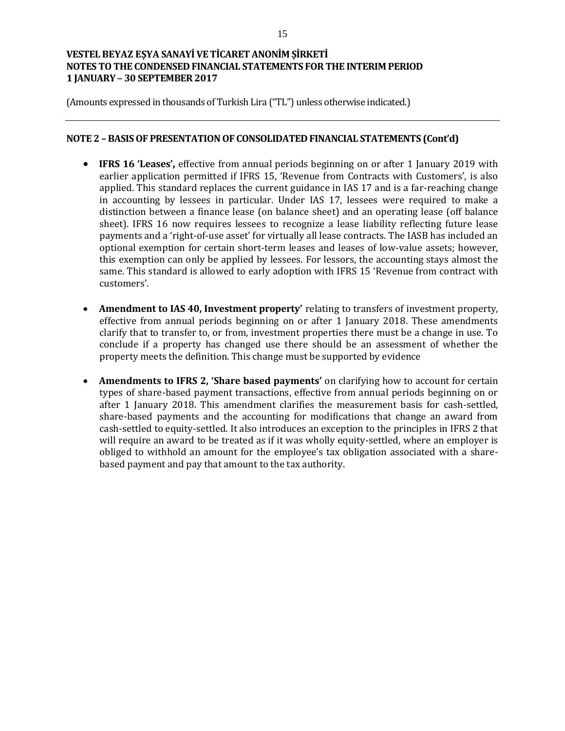(Amounts expressed in thousands of Turkish Lira ("TL") unless otherwise indicated.)

#### **NOTE 2 – BASIS OF PRESENTATION OF CONSOLIDATED FINANCIAL STATEMENTS (Cont'd)**

- **IFRS 16 'Leases',** effective from annual periods beginning on or after 1 January 2019 with earlier application permitted if IFRS 15, 'Revenue from Contracts with Customers', is also applied. This standard replaces the current guidance in IAS 17 and is a far-reaching change in accounting by lessees in particular. Under IAS 17, lessees were required to make a distinction between a finance lease (on balance sheet) and an operating lease (off balance sheet). IFRS 16 now requires lessees to recognize a lease liability reflecting future lease payments and a 'right-of-use asset' for virtually all lease contracts. The IASB has included an optional exemption for certain short-term leases and leases of low-value assets; however, this exemption can only be applied by lessees. For lessors, the accounting stays almost the same. This standard is allowed to early adoption with IFRS 15 'Revenue from contract with customers'.
- **Amendment to IAS 40, Investment property'** relating to transfers of investment property, effective from annual periods beginning on or after 1 January 2018. These amendments clarify that to transfer to, or from, investment properties there must be a change in use. To conclude if a property has changed use there should be an assessment of whether the property meets the definition. This change must be supported by evidence
- **Amendments to IFRS 2, 'Share based payments'** on clarifying how to account for certain types of share-based payment transactions, effective from annual periods beginning on or after 1 January 2018. This amendment clarifies the measurement basis for cash-settled, share-based payments and the accounting for modifications that change an award from cash-settled to equity-settled. It also introduces an exception to the principles in IFRS 2 that will require an award to be treated as if it was wholly equity-settled, where an employer is obliged to withhold an amount for the employee's tax obligation associated with a sharebased payment and pay that amount to the tax authority.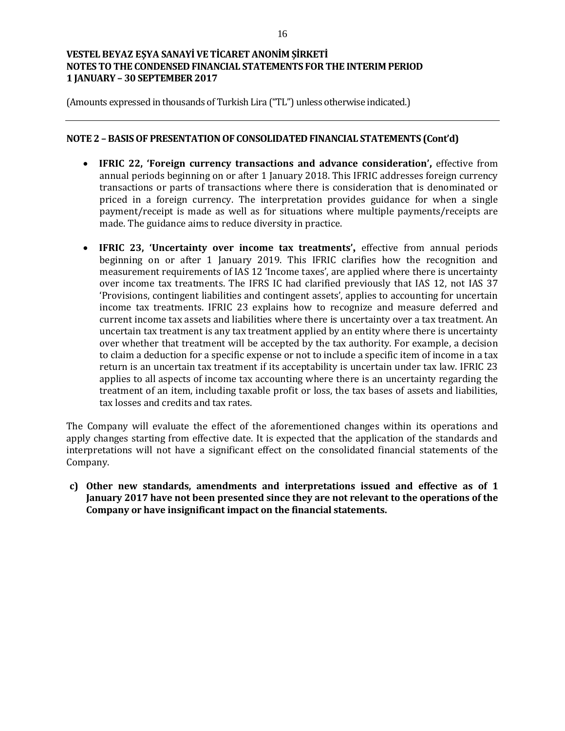(Amounts expressed in thousands of Turkish Lira ("TL") unless otherwise indicated.)

### **NOTE 2 – BASIS OF PRESENTATION OF CONSOLIDATED FINANCIAL STATEMENTS (Cont'd)**

- **IFRIC 22, 'Foreign currency transactions and advance consideration',** effective from annual periods beginning on or after 1 January 2018. This IFRIC addresses foreign currency transactions or parts of transactions where there is consideration that is denominated or priced in a foreign currency. The interpretation provides guidance for when a single payment/receipt is made as well as for situations where multiple payments/receipts are made. The guidance aims to reduce diversity in practice.
- **IFRIC 23, 'Uncertainty over income tax treatments',** effective from annual periods beginning on or after 1 January 2019. This IFRIC clarifies how the recognition and measurement requirements of IAS 12 'Income taxes', are applied where there is uncertainty over income tax treatments. The IFRS IC had clarified previously that IAS 12, not IAS 37 'Provisions, contingent liabilities and contingent assets', applies to accounting for uncertain income tax treatments. IFRIC 23 explains how to recognize and measure deferred and current income tax assets and liabilities where there is uncertainty over a tax treatment. An uncertain tax treatment is any tax treatment applied by an entity where there is uncertainty over whether that treatment will be accepted by the tax authority. For example, a decision to claim a deduction for a specific expense or not to include a specific item of income in a tax return is an uncertain tax treatment if its acceptability is uncertain under tax law. IFRIC 23 applies to all aspects of income tax accounting where there is an uncertainty regarding the treatment of an item, including taxable profit or loss, the tax bases of assets and liabilities, tax losses and credits and tax rates.

The Company will evaluate the effect of the aforementioned changes within its operations and apply changes starting from effective date. It is expected that the application of the standards and interpretations will not have a significant effect on the consolidated financial statements of the Company.

**c) Other new standards, amendments and interpretations issued and effective as of 1 January 2017 have not been presented since they are not relevant to the operations of the Company or have insignificant impact on the financial statements.**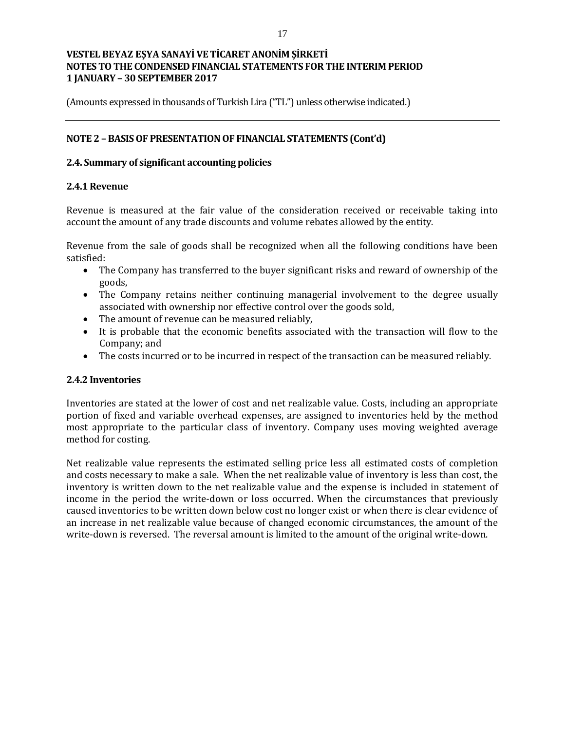(Amounts expressed in thousands of Turkish Lira ("TL") unless otherwise indicated.)

### **NOTE 2 – BASIS OF PRESENTATION OF FINANCIAL STATEMENTS (Cont'd)**

### **2.4. Summary of significant accounting policies**

### **2.4.1 Revenue**

Revenue is measured at the fair value of the consideration received or receivable taking into account the amount of any trade discounts and volume rebates allowed by the entity.

Revenue from the sale of goods shall be recognized when all the following conditions have been satisfied:

- The Company has transferred to the buyer significant risks and reward of ownership of the goods,
- The Company retains neither continuing managerial involvement to the degree usually associated with ownership nor effective control over the goods sold,
- The amount of revenue can be measured reliably,
- It is probable that the economic benefits associated with the transaction will flow to the Company; and
- The costs incurred or to be incurred in respect of the transaction can be measured reliably.

#### **2.4.2 Inventories**

Inventories are stated at the lower of cost and net realizable value. Costs, including an appropriate portion of fixed and variable overhead expenses, are assigned to inventories held by the method most appropriate to the particular class of inventory. Company uses moving weighted average method for costing.

Net realizable value represents the estimated selling price less all estimated costs of completion and costs necessary to make a sale. When the net realizable value of inventory is less than cost, the inventory is written down to the net realizable value and the expense is included in statement of income in the period the write-down or loss occurred. When the circumstances that previously caused inventories to be written down below cost no longer exist or when there is clear evidence of an increase in net realizable value because of changed economic circumstances, the amount of the write-down is reversed. The reversal amount is limited to the amount of the original write-down.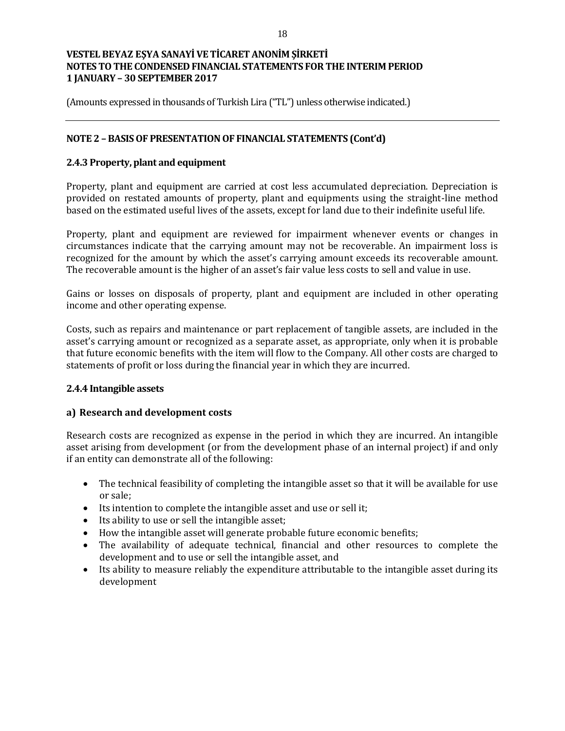(Amounts expressed in thousands of Turkish Lira ("TL") unless otherwise indicated.)

### **NOTE 2 – BASIS OF PRESENTATION OF FINANCIAL STATEMENTS (Cont'd)**

### **2.4.3 Property, plant and equipment**

Property, plant and equipment are carried at cost less accumulated depreciation. Depreciation is provided on restated amounts of property, plant and equipments using the straight-line method based on the estimated useful lives of the assets, except for land due to their indefinite useful life.

Property, plant and equipment are reviewed for impairment whenever events or changes in circumstances indicate that the carrying amount may not be recoverable. An impairment loss is recognized for the amount by which the asset's carrying amount exceeds its recoverable amount. The recoverable amount is the higher of an asset's fair value less costs to sell and value in use.

Gains or losses on disposals of property, plant and equipment are included in other operating income and other operating expense.

Costs, such as repairs and maintenance or part replacement of tangible assets, are included in the asset's carrying amount or recognized as a separate asset, as appropriate, only when it is probable that future economic benefits with the item will flow to the Company. All other costs are charged to statements of profit or loss during the financial year in which they are incurred.

#### **2.4.4 Intangible assets**

#### **a) Research and development costs**

Research costs are recognized as expense in the period in which they are incurred. An intangible asset arising from development (or from the development phase of an internal project) if and only if an entity can demonstrate all of the following:

- The technical feasibility of completing the intangible asset so that it will be available for use or sale;
- Its intention to complete the intangible asset and use or sell it;
- Its ability to use or sell the intangible asset;
- How the intangible asset will generate probable future economic benefits;
- The availability of adequate technical, financial and other resources to complete the development and to use or sell the intangible asset, and
- Its ability to measure reliably the expenditure attributable to the intangible asset during its development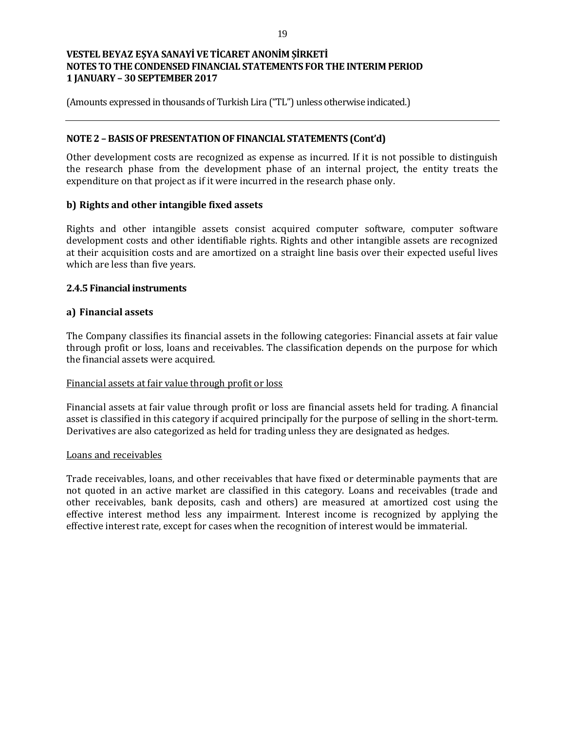(Amounts expressed in thousands of Turkish Lira ("TL") unless otherwise indicated.)

### **NOTE 2 – BASIS OF PRESENTATION OF FINANCIAL STATEMENTS (Cont'd)**

Other development costs are recognized as expense as incurred. If it is not possible to distinguish the research phase from the development phase of an internal project, the entity treats the expenditure on that project as if it were incurred in the research phase only.

### **b) Rights and other intangible fixed assets**

Rights and other intangible assets consist acquired computer software, computer software development costs and other identifiable rights. Rights and other intangible assets are recognized at their acquisition costs and are amortized on a straight line basis over their expected useful lives which are less than five years.

### **2.4.5 Financial instruments**

### **a) Financial assets**

The Company classifies its financial assets in the following categories: Financial assets at fair value through profit or loss, loans and receivables. The classification depends on the purpose for which the financial assets were acquired.

#### Financial assets at fair value through profit or loss

Financial assets at fair value through profit or loss are financial assets held for trading. A financial asset is classified in this category if acquired principally for the purpose of selling in the short-term. Derivatives are also categorized as held for trading unless they are designated as hedges.

#### Loans and receivables

Trade receivables, loans, and other receivables that have fixed or determinable payments that are not quoted in an active market are classified in this category. Loans and receivables (trade and other receivables, bank deposits, cash and others) are measured at amortized cost using the effective interest method less any impairment. Interest income is recognized by applying the effective interest rate, except for cases when the recognition of interest would be immaterial.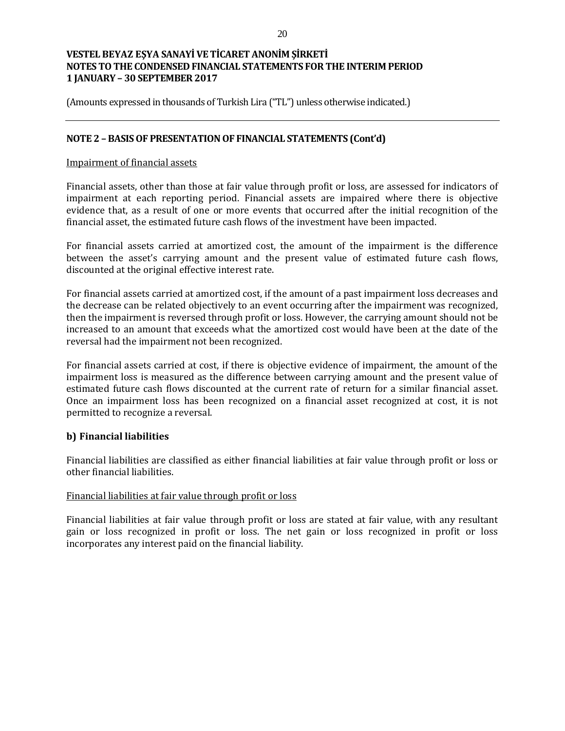(Amounts expressed in thousands of Turkish Lira ("TL") unless otherwise indicated.)

### **NOTE 2 – BASIS OF PRESENTATION OF FINANCIAL STATEMENTS (Cont'd)**

#### Impairment of financial assets

Financial assets, other than those at fair value through profit or loss, are assessed for indicators of impairment at each reporting period. Financial assets are impaired where there is objective evidence that, as a result of one or more events that occurred after the initial recognition of the financial asset, the estimated future cash flows of the investment have been impacted.

For financial assets carried at amortized cost, the amount of the impairment is the difference between the asset's carrying amount and the present value of estimated future cash flows, discounted at the original effective interest rate.

For financial assets carried at amortized cost, if the amount of a past impairment loss decreases and the decrease can be related objectively to an event occurring after the impairment was recognized, then the impairment is reversed through profit or loss. However, the carrying amount should not be increased to an amount that exceeds what the amortized cost would have been at the date of the reversal had the impairment not been recognized.

For financial assets carried at cost, if there is objective evidence of impairment, the amount of the impairment loss is measured as the difference between carrying amount and the present value of estimated future cash flows discounted at the current rate of return for a similar financial asset. Once an impairment loss has been recognized on a financial asset recognized at cost, it is not permitted to recognize a reversal.

#### **b) Financial liabilities**

Financial liabilities are classified as either financial liabilities at fair value through profit or loss or other financial liabilities.

#### Financial liabilities at fair value through profit or loss

Financial liabilities at fair value through profit or loss are stated at fair value, with any resultant gain or loss recognized in profit or loss. The net gain or loss recognized in profit or loss incorporates any interest paid on the financial liability.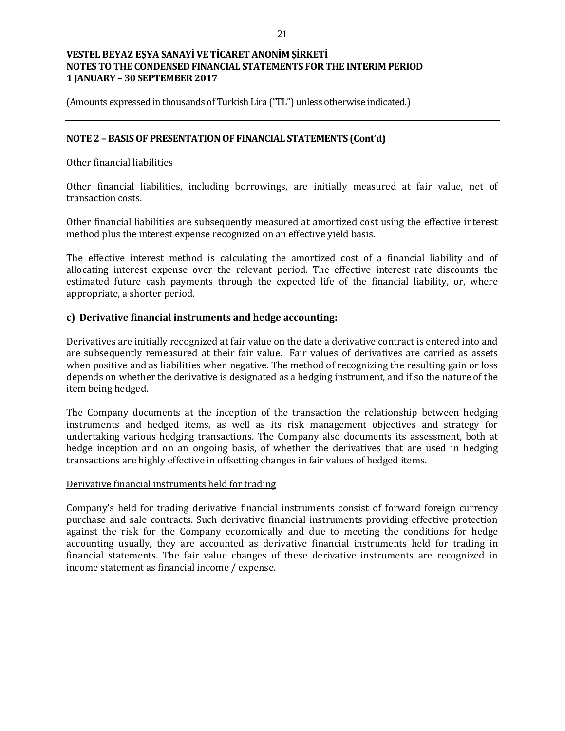(Amounts expressed in thousands of Turkish Lira ("TL") unless otherwise indicated.)

### **NOTE 2 – BASIS OF PRESENTATION OF FINANCIAL STATEMENTS (Cont'd)**

#### Other financial liabilities

Other financial liabilities, including borrowings, are initially measured at fair value, net of transaction costs.

Other financial liabilities are subsequently measured at amortized cost using the effective interest method plus the interest expense recognized on an effective yield basis.

The effective interest method is calculating the amortized cost of a financial liability and of allocating interest expense over the relevant period. The effective interest rate discounts the estimated future cash payments through the expected life of the financial liability, or, where appropriate, a shorter period.

### **c) Derivative financial instruments and hedge accounting:**

Derivatives are initially recognized at fair value on the date a derivative contract is entered into and are subsequently remeasured at their fair value. Fair values of derivatives are carried as assets when positive and as liabilities when negative. The method of recognizing the resulting gain or loss depends on whether the derivative is designated as a hedging instrument, and if so the nature of the item being hedged.

The Company documents at the inception of the transaction the relationship between hedging instruments and hedged items, as well as its risk management objectives and strategy for undertaking various hedging transactions. The Company also documents its assessment, both at hedge inception and on an ongoing basis, of whether the derivatives that are used in hedging transactions are highly effective in offsetting changes in fair values of hedged items.

#### Derivative financial instruments held for trading

Company's held for trading derivative financial instruments consist of forward foreign currency purchase and sale contracts. Such derivative financial instruments providing effective protection against the risk for the Company economically and due to meeting the conditions for hedge accounting usually, they are accounted as derivative financial instruments held for trading in financial statements. The fair value changes of these derivative instruments are recognized in income statement as financial income / expense.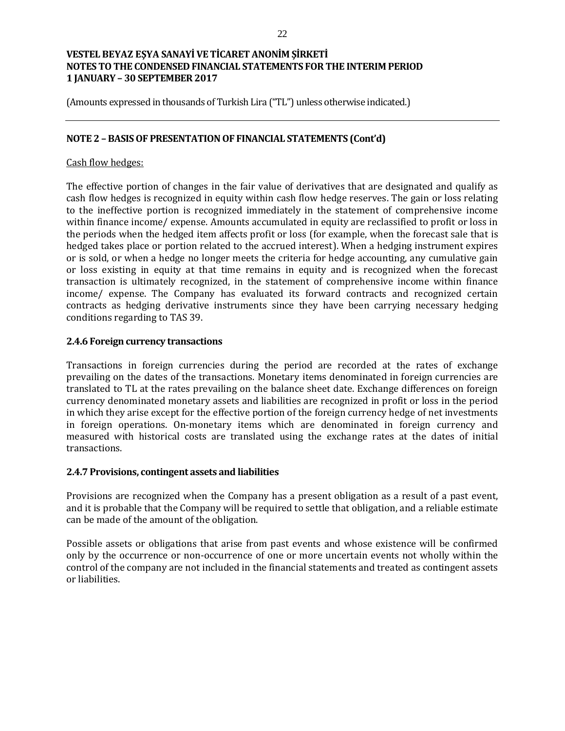(Amounts expressed in thousands of Turkish Lira ("TL") unless otherwise indicated.)

### **NOTE 2 – BASIS OF PRESENTATION OF FINANCIAL STATEMENTS (Cont'd)**

### Cash flow hedges:

The effective portion of changes in the fair value of derivatives that are designated and qualify as cash flow hedges is recognized in equity within cash flow hedge reserves. The gain or loss relating to the ineffective portion is recognized immediately in the statement of comprehensive income within finance income/ expense. Amounts accumulated in equity are reclassified to profit or loss in the periods when the hedged item affects profit or loss (for example, when the forecast sale that is hedged takes place or portion related to the accrued interest). When a hedging instrument expires or is sold, or when a hedge no longer meets the criteria for hedge accounting, any cumulative gain or loss existing in equity at that time remains in equity and is recognized when the forecast transaction is ultimately recognized, in the statement of comprehensive income within finance income/ expense. The Company has evaluated its forward contracts and recognized certain contracts as hedging derivative instruments since they have been carrying necessary hedging conditions regarding to TAS 39.

#### **2.4.6 Foreign currency transactions**

Transactions in foreign currencies during the period are recorded at the rates of exchange prevailing on the dates of the transactions. Monetary items denominated in foreign currencies are translated to TL at the rates prevailing on the balance sheet date. Exchange differences on foreign currency denominated monetary assets and liabilities are recognized in profit or loss in the period in which they arise except for the effective portion of the foreign currency hedge of net investments in foreign operations. On-monetary items which are denominated in foreign currency and measured with historical costs are translated using the exchange rates at the dates of initial transactions.

#### **2.4.7 Provisions, contingent assets and liabilities**

Provisions are recognized when the Company has a present obligation as a result of a past event, and it is probable that the Company will be required to settle that obligation, and a reliable estimate can be made of the amount of the obligation.

Possible assets or obligations that arise from past events and whose existence will be confirmed only by the occurrence or non-occurrence of one or more uncertain events not wholly within the control of the company are not included in the financial statements and treated as contingent assets or liabilities.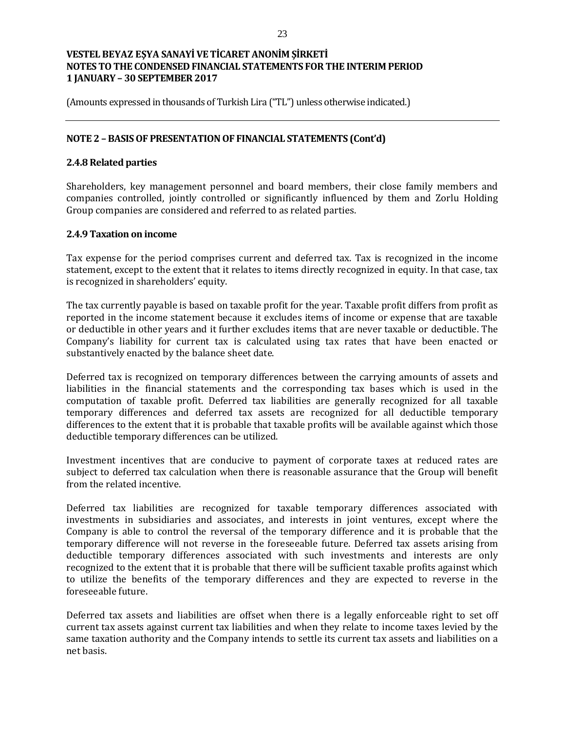(Amounts expressed in thousands of Turkish Lira ("TL") unless otherwise indicated.)

### **NOTE 2 – BASIS OF PRESENTATION OF FINANCIAL STATEMENTS (Cont'd)**

### **2.4.8 Related parties**

Shareholders, key management personnel and board members, their close family members and companies controlled, jointly controlled or significantly influenced by them and Zorlu Holding Group companies are considered and referred to as related parties.

#### **2.4.9 Taxation on income**

Tax expense for the period comprises current and deferred tax. Tax is recognized in the income statement, except to the extent that it relates to items directly recognized in equity. In that case, tax is recognized in shareholders' equity.

The tax currently payable is based on taxable profit for the year. Taxable profit differs from profit as reported in the income statement because it excludes items of income or expense that are taxable or deductible in other years and it further excludes items that are never taxable or deductible. The Company's liability for current tax is calculated using tax rates that have been enacted or substantively enacted by the balance sheet date.

Deferred tax is recognized on temporary differences between the carrying amounts of assets and liabilities in the financial statements and the corresponding tax bases which is used in the computation of taxable profit. Deferred tax liabilities are generally recognized for all taxable temporary differences and deferred tax assets are recognized for all deductible temporary differences to the extent that it is probable that taxable profits will be available against which those deductible temporary differences can be utilized.

Investment incentives that are conducive to payment of corporate taxes at reduced rates are subject to deferred tax calculation when there is reasonable assurance that the Group will benefit from the related incentive.

Deferred tax liabilities are recognized for taxable temporary differences associated with investments in subsidiaries and associates, and interests in joint ventures, except where the Company is able to control the reversal of the temporary difference and it is probable that the temporary difference will not reverse in the foreseeable future. Deferred tax assets arising from deductible temporary differences associated with such investments and interests are only recognized to the extent that it is probable that there will be sufficient taxable profits against which to utilize the benefits of the temporary differences and they are expected to reverse in the foreseeable future.

Deferred tax assets and liabilities are offset when there is a legally enforceable right to set off current tax assets against current tax liabilities and when they relate to income taxes levied by the same taxation authority and the Company intends to settle its current tax assets and liabilities on a net basis.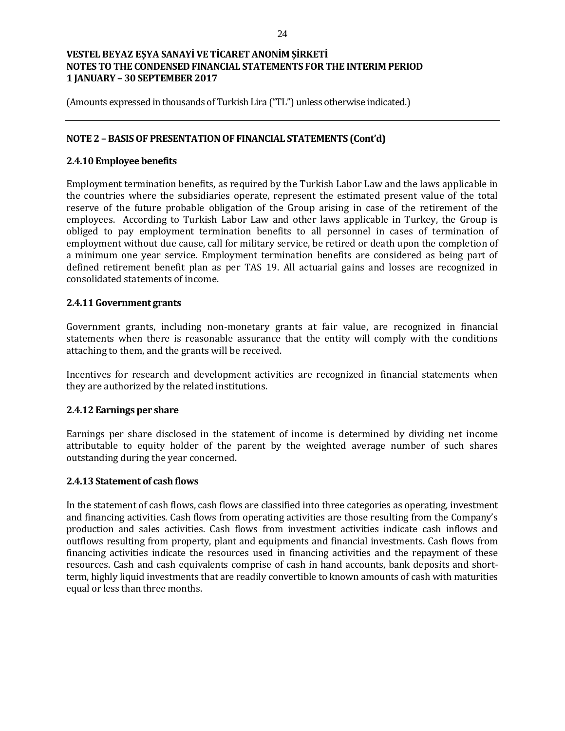(Amounts expressed in thousands of Turkish Lira ("TL") unless otherwise indicated.)

### **NOTE 2 – BASIS OF PRESENTATION OF FINANCIAL STATEMENTS (Cont'd)**

#### **2.4.10 Employee benefits**

Employment termination benefits, as required by the Turkish Labor Law and the laws applicable in the countries where the subsidiaries operate, represent the estimated present value of the total reserve of the future probable obligation of the Group arising in case of the retirement of the employees. According to Turkish Labor Law and other laws applicable in Turkey, the Group is obliged to pay employment termination benefits to all personnel in cases of termination of employment without due cause, call for military service, be retired or death upon the completion of a minimum one year service. Employment termination benefits are considered as being part of defined retirement benefit plan as per TAS 19. All actuarial gains and losses are recognized in consolidated statements of income.

### **2.4.11 Government grants**

Government grants, including non-monetary grants at fair value, are recognized in financial statements when there is reasonable assurance that the entity will comply with the conditions attaching to them, and the grants will be received.

Incentives for research and development activities are recognized in financial statements when they are authorized by the related institutions.

#### **2.4.12 Earnings per share**

Earnings per share disclosed in the statement of income is determined by dividing net income attributable to equity holder of the parent by the weighted average number of such shares outstanding during the year concerned.

#### **2.4.13 Statement of cash flows**

In the statement of cash flows, cash flows are classified into three categories as operating, investment and financing activities. Cash flows from operating activities are those resulting from the Company's production and sales activities. Cash flows from investment activities indicate cash inflows and outflows resulting from property, plant and equipments and financial investments. Cash flows from financing activities indicate the resources used in financing activities and the repayment of these resources. Cash and cash equivalents comprise of cash in hand accounts, bank deposits and shortterm, highly liquid investments that are readily convertible to known amounts of cash with maturities equal or less than three months.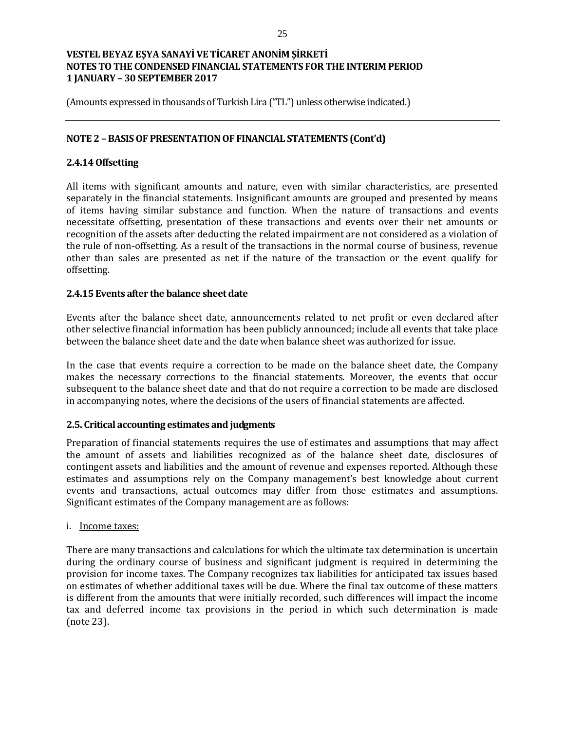(Amounts expressed in thousands of Turkish Lira ("TL") unless otherwise indicated.)

### **NOTE 2 – BASIS OF PRESENTATION OF FINANCIAL STATEMENTS (Cont'd)**

### **2.4.14 Offsetting**

All items with significant amounts and nature, even with similar characteristics, are presented separately in the financial statements. Insignificant amounts are grouped and presented by means of items having similar substance and function. When the nature of transactions and events necessitate offsetting, presentation of these transactions and events over their net amounts or recognition of the assets after deducting the related impairment are not considered as a violation of the rule of non-offsetting. As a result of the transactions in the normal course of business, revenue other than sales are presented as net if the nature of the transaction or the event qualify for offsetting.

#### **2.4.15 Events after the balance sheet date**

Events after the balance sheet date, announcements related to net profit or even declared after other selective financial information has been publicly announced; include all events that take place between the balance sheet date and the date when balance sheet was authorized for issue.

In the case that events require a correction to be made on the balance sheet date, the Company makes the necessary corrections to the financial statements. Moreover, the events that occur subsequent to the balance sheet date and that do not require a correction to be made are disclosed in accompanying notes, where the decisions of the users of financial statements are affected.

#### **2.5. Critical accounting estimates and judgments**

Preparation of financial statements requires the use of estimates and assumptions that may affect the amount of assets and liabilities recognized as of the balance sheet date, disclosures of contingent assets and liabilities and the amount of revenue and expenses reported. Although these estimates and assumptions rely on the Company management's best knowledge about current events and transactions, actual outcomes may differ from those estimates and assumptions. Significant estimates of the Company management are as follows:

#### i. Income taxes:

There are many transactions and calculations for which the ultimate tax determination is uncertain during the ordinary course of business and significant judgment is required in determining the provision for income taxes. The Company recognizes tax liabilities for anticipated tax issues based on estimates of whether additional taxes will be due. Where the final tax outcome of these matters is different from the amounts that were initially recorded, such differences will impact the income tax and deferred income tax provisions in the period in which such determination is made (note 23).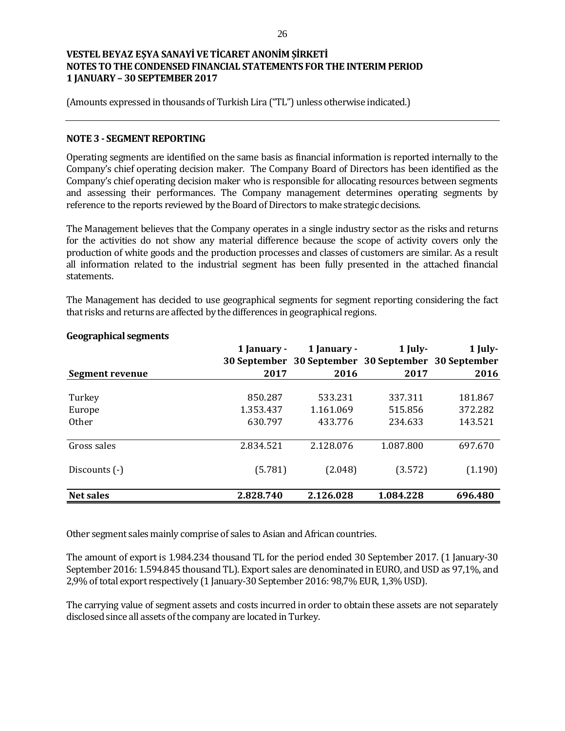(Amounts expressed in thousands of Turkish Lira ("TL") unless otherwise indicated.)

#### **NOTE 3 - SEGMENT REPORTING**

Operating segments are identified on the same basis as financial information is reported internally to the Company's chief operating decision maker. The Company Board of Directors has been identified as the Company's chief operating decision maker who is responsible for allocating resources between segments and assessing their performances. The Company management determines operating segments by reference to the reports reviewed by the Board of Directors to make strategic decisions.

The Management believes that the Company operates in a single industry sector as the risks and returns for the activities do not show any material difference because the scope of activity covers only the production of white goods and the production processes and classes of customers are similar. As a result all information related to the industrial segment has been fully presented in the attached financial statements.

The Management has decided to use geographical segments for segment reporting considering the fact that risks and returns are affected by the differences in geographical regions.

|                  | 1 January - | 1 January -                                         | $1$ July- | 1 July- |
|------------------|-------------|-----------------------------------------------------|-----------|---------|
|                  |             | 30 September 30 September 30 September 30 September |           |         |
| Segment revenue  | 2017        | 2016                                                | 2017      | 2016    |
|                  |             |                                                     |           |         |
| Turkey           | 850.287     | 533.231                                             | 337.311   | 181.867 |
| Europe           | 1.353.437   | 1.161.069                                           | 515.856   | 372.282 |
| <b>Other</b>     | 630.797     | 433.776                                             | 234.633   | 143.521 |
|                  |             |                                                     |           |         |
| Gross sales      | 2.834.521   | 2.128.076                                           | 1.087.800 | 697.670 |
|                  |             |                                                     |           |         |
| Discounts (-)    | (5.781)     | (2.048)                                             | (3.572)   | (1.190) |
|                  |             |                                                     |           |         |
| <b>Net sales</b> | 2.828.740   | 2.126.028                                           | 1.084.228 | 696.480 |

#### **Geographical segments**

Other segment sales mainly comprise of sales to Asian and African countries.

The amount of export is 1.984.234 thousand TL for the period ended 30 September 2017. (1 January-30 September 2016: 1.594.845 thousand TL). Export sales are denominated in EURO, and USD as 97,1%, and 2,9% of total export respectively (1 January-30 September 2016: 98,7% EUR, 1,3% USD).

The carrying value of segment assets and costs incurred in order to obtain these assets are not separately disclosed since all assets of the company are located in Turkey.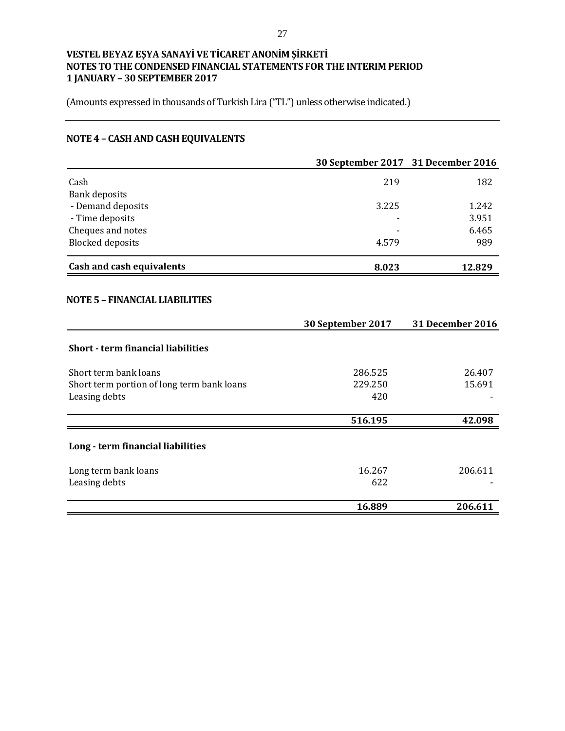(Amounts expressed in thousands of Turkish Lira ("TL") unless otherwise indicated.)

# **NOTE 4 – CASH AND CASH EQUIVALENTS**

|                                            | 30 September 2017 31 December 2016 |                  |
|--------------------------------------------|------------------------------------|------------------|
| Cash                                       | 219                                | 182              |
| <b>Bank deposits</b>                       |                                    |                  |
| - Demand deposits                          | 3.225                              | 1.242            |
| - Time deposits                            |                                    | 3.951            |
| Cheques and notes                          |                                    | 6.465            |
| <b>Blocked deposits</b>                    | 4.579                              | 989              |
| Cash and cash equivalents                  | 8.023                              | 12.829           |
| <b>NOTE 5 - FINANCIAL LIABILITIES</b>      |                                    |                  |
|                                            | 30 September 2017                  | 31 December 2016 |
|                                            |                                    |                  |
| <b>Short - term financial liabilities</b>  |                                    |                  |
| Short term bank loans                      | 286.525                            | 26.407           |
| Short term portion of long term bank loans | 229.250                            | 15.691           |
| Leasing debts                              | 420                                |                  |
|                                            | 516.195                            | 42.098           |
| Long - term financial liabilities          |                                    |                  |
| Long term bank loans                       | 16.267                             | 206.611          |
| Leasing debts                              | 622                                |                  |
|                                            | 16.889                             | 206.611          |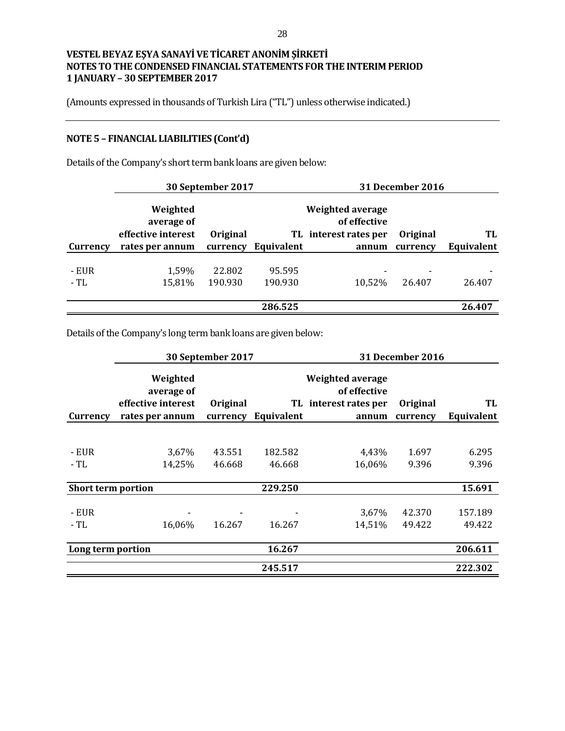(Amounts expressed in thousands of Turkish Lira ("TL") unless otherwise indicated.)

# **NOTE 5 – FINANCIAL LIABILITIES (Cont'd)**

Details of the Company's short term bank loans are given below:

| Weighted<br>average of |          |            | of effective      |                                                  |                         |
|------------------------|----------|------------|-------------------|--------------------------------------------------|-------------------------|
| effective interest     | Original |            |                   | Original                                         | TL                      |
| rates per annum        | currency | Equivalent | annum             | currency                                         | Equivalent              |
|                        |          |            |                   |                                                  |                         |
|                        | 22.802   | 95.595     |                   |                                                  |                         |
| 15,81%                 | 190.930  | 190.930    | 10,52%            | 26.407                                           | 26.407                  |
|                        |          |            |                   |                                                  |                         |
|                        |          | 286.525    |                   |                                                  | 26.407                  |
|                        | 1,59%    |            | 30 September 2017 | <b>Weighted average</b><br>TL interest rates per | <b>31 December 2016</b> |

Details of the Company's long term bank loans are given below:

|                    |                                                                 | 30 September 2017    |                   |                                                                           | <b>31 December 2016</b> |                   |
|--------------------|-----------------------------------------------------------------|----------------------|-------------------|---------------------------------------------------------------------------|-------------------------|-------------------|
| Currency           | Weighted<br>average of<br>effective interest<br>rates per annum | Original<br>currency | Equivalent        | <b>Weighted average</b><br>of effective<br>TL interest rates per<br>annum | Original<br>currency    | TL<br>Equivalent  |
|                    |                                                                 |                      |                   |                                                                           |                         |                   |
| - EUR<br>- TL      | 3,67%<br>14,25%                                                 | 43.551<br>46.668     | 182.582<br>46.668 | 4,43%<br>16,06%                                                           | 1.697<br>9.396          | 6.295<br>9.396    |
| Short term portion |                                                                 |                      | 229.250           |                                                                           |                         | 15.691            |
| - EUR<br>- TL      | 16,06%                                                          | 16.267               | 16.267            | 3,67%<br>14,51%                                                           | 42.370<br>49.422        | 157.189<br>49.422 |
| Long term portion  |                                                                 |                      | 16.267            |                                                                           |                         | 206.611           |
|                    |                                                                 |                      | 245.517           |                                                                           |                         | 222.302           |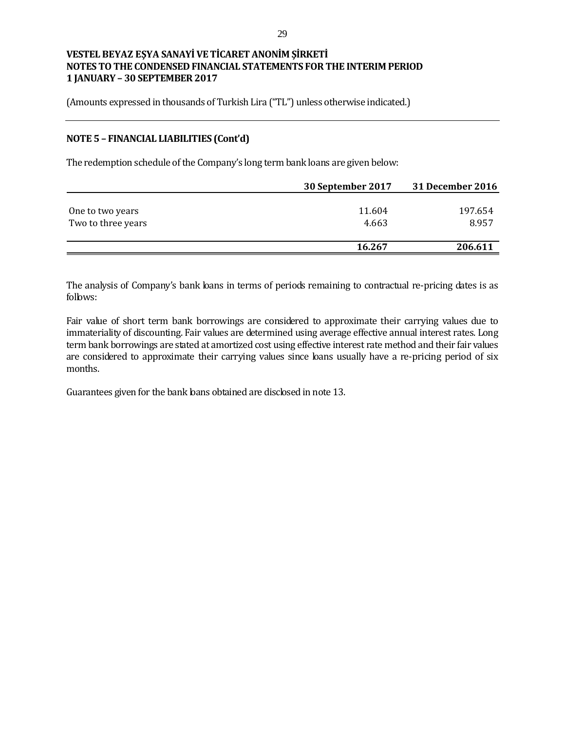(Amounts expressed in thousands of Turkish Lira ("TL") unless otherwise indicated.)

#### **NOTE 5 – FINANCIAL LIABILITIES (Cont'd)**

The redemption schedule of the Company's long term bank loans are given below:

|                    | 30 September 2017 | 31 December 2016 |
|--------------------|-------------------|------------------|
|                    |                   |                  |
| One to two years   | 11.604            | 197.654          |
| Two to three years | 4.663             | 8.957            |
|                    |                   |                  |
|                    | 16.267            | 206.611          |

The analysis of Company's bank loans in terms of periods remaining to contractual re-pricing dates is as follows:

Fair value of short term bank borrowings are considered to approximate their carrying values due to immateriality of discounting. Fair values are determined using average effective annual interest rates. Long term bank borrowings are stated at amortized cost using effective interest rate method and their fair values are considered to approximate their carrying values since loans usually have a re-pricing period of six months.

Guarantees given for the bank loans obtained are disclosed in note 13.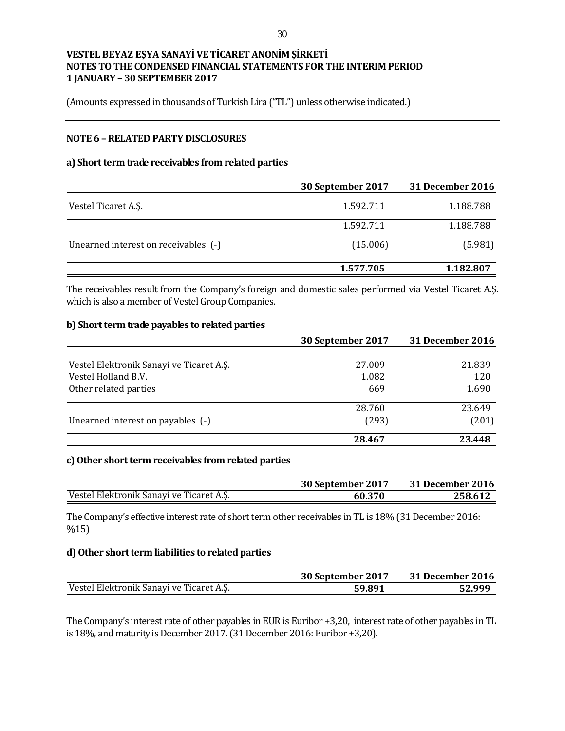(Amounts expressed in thousands of Turkish Lira ("TL") unless otherwise indicated.)

### **NOTE 6 –RELATED PARTY DISCLOSURES**

#### **a) Short term trade receivables from related parties**

|                                      | 30 September 2017 | <b>31 December 2016</b> |
|--------------------------------------|-------------------|-------------------------|
| Vestel Ticaret A.S.                  | 1.592.711         | 1.188.788               |
|                                      | 1.592.711         | 1.188.788               |
| Unearned interest on receivables (-) | (15.006)          | (5.981)                 |
|                                      | 1.577.705         | 1.182.807               |

The receivables result from the Company's foreign and domestic sales performed via Vestel Ticaret A.Ş. which is also a member of Vestel Group Companies.

#### **b) Short term trade payables to related parties**

|                                          | 30 September 2017 | 31 December 2016 |
|------------------------------------------|-------------------|------------------|
|                                          |                   |                  |
| Vestel Elektronik Sanayi ve Ticaret A.Ş. | 27.009            | 21.839           |
| Vestel Holland B.V.                      | 1.082             | 120              |
| Other related parties                    | 669               | 1.690            |
|                                          | 28.760            | 23.649           |
| Unearned interest on payables (-)        | (293)             | (201)            |
|                                          | 28.467            | 23.448           |

#### **c)Other short term receivables from related parties**

|                                          | 30 September 2017 | 31 December 2016 |
|------------------------------------------|-------------------|------------------|
| Vestel Elektronik Sanavi ve Ticaret A.S. | 60.370            | 258.612          |

The Company's effective interest rate of short term other receivables in TL is 18% (31 December 2016: %15)

#### **d) Other short term liabilities to related parties**

|                                          | 30 September 2017 | 31 December 2016 |
|------------------------------------------|-------------------|------------------|
| Vestel Elektronik Sanayi ve Ticaret A.S. | 59.891            | 52.999           |

The Company's interest rate of other payables in EUR is Euribor +3,20, interest rate of other payables in TL is 18%, and maturity is December 2017.(31 December 2016: Euribor +3,20).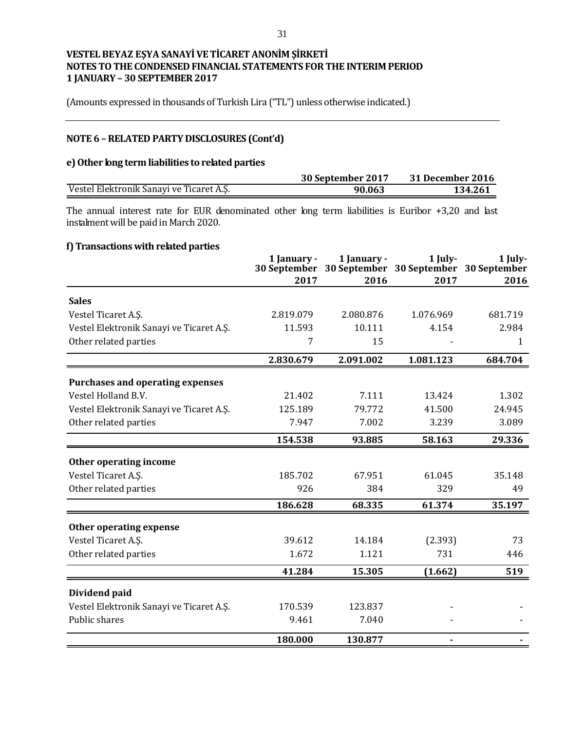(Amounts expressed in thousands of Turkish Lira ("TL") unless otherwise indicated.)

# **NOTE 6 –RELATED PARTY DISCLOSURES (Cont'd)**

#### **e) Other long term liabilities to related parties**

|                                          | 30 September 2017 | 31 December 2016 |
|------------------------------------------|-------------------|------------------|
| Vestel Elektronik Sanayi ve Ticaret A.S. | 90.063            | 134.261          |

The annual interest rate for EUR denominated other long term liabilities is Euribor +3,20 and last instalment will be paid in March 2020.

### **f) Transactions with related parties**

|                                          | 1 January -<br>30 September | 1 January - | 1 July-<br>30 September 30 September 30 September | 1 July- |
|------------------------------------------|-----------------------------|-------------|---------------------------------------------------|---------|
|                                          | 2017                        | 2016        | 2017                                              | 2016    |
| <b>Sales</b>                             |                             |             |                                                   |         |
| Vestel Ticaret A.S.                      | 2.819.079                   | 2.080.876   | 1.076.969                                         | 681.719 |
| Vestel Elektronik Sanayi ve Ticaret A.Ş. | 11.593                      | 10.111      | 4.154                                             | 2.984   |
| Other related parties                    | 7                           | 15          |                                                   | 1       |
|                                          | 2.830.679                   | 2.091.002   | 1.081.123                                         | 684.704 |
| <b>Purchases and operating expenses</b>  |                             |             |                                                   |         |
| Vestel Holland B.V.                      | 21.402                      | 7.111       | 13.424                                            | 1.302   |
| Vestel Elektronik Sanayi ve Ticaret A.Ş. | 125.189                     | 79.772      | 41.500                                            | 24.945  |
| Other related parties                    | 7.947                       | 7.002       | 3.239                                             | 3.089   |
|                                          | 154.538                     | 93.885      | 58.163                                            | 29.336  |
| Other operating income                   |                             |             |                                                   |         |
| Vestel Ticaret A.Ş.                      | 185.702                     | 67.951      | 61.045                                            | 35.148  |
| Other related parties                    | 926                         | 384         | 329                                               | 49      |
|                                          | 186.628                     | 68.335      | 61.374                                            | 35.197  |
| Other operating expense                  |                             |             |                                                   |         |
| Vestel Ticaret A.S.                      | 39.612                      | 14.184      | (2.393)                                           | 73      |
| Other related parties                    | 1.672                       | 1.121       | 731                                               | 446     |
|                                          | 41.284                      | 15.305      | (1.662)                                           | 519     |
| Dividend paid                            |                             |             |                                                   |         |
| Vestel Elektronik Sanayi ve Ticaret A.Ş. | 170.539                     | 123.837     |                                                   |         |
| Public shares                            | 9.461                       | 7.040       |                                                   |         |
|                                          | 180.000                     | 130.877     |                                                   |         |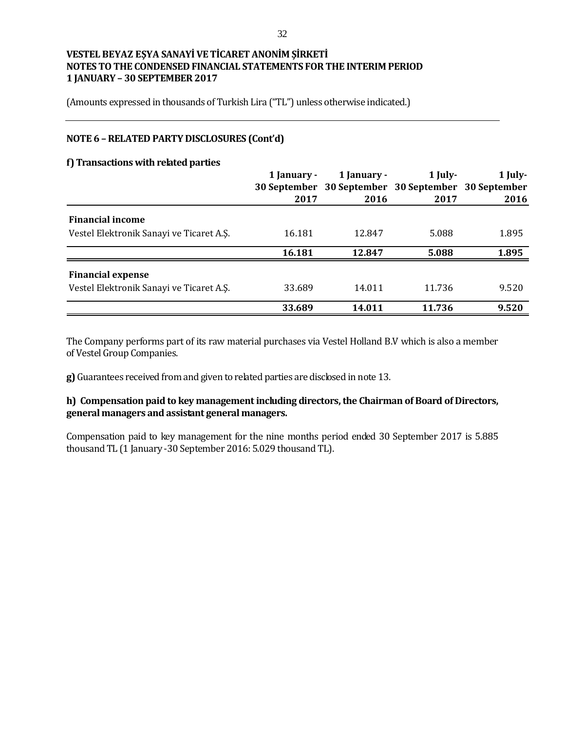(Amounts expressed in thousands of Turkish Lira ("TL") unless otherwise indicated.)

### **NOTE 6 –RELATED PARTY DISCLOSURES (Cont'd)**

#### **f) Transactions with related parties**

|                                          | 1 January - | 1 January -                                         | $1$ July- | 1 July- |
|------------------------------------------|-------------|-----------------------------------------------------|-----------|---------|
|                                          |             | 30 September 30 September 30 September 30 September |           |         |
|                                          | 2017        | 2016                                                | 2017      | 2016    |
| <b>Financial income</b>                  |             |                                                     |           |         |
| Vestel Elektronik Sanayi ve Ticaret A.S. | 16.181      | 12.847                                              | 5.088     | 1.895   |
|                                          | 16.181      | 12.847                                              | 5.088     | 1.895   |
| <b>Financial expense</b>                 |             |                                                     |           |         |
| Vestel Elektronik Sanayi ve Ticaret A.S. | 33.689      | 14.011                                              | 11.736    | 9.520   |
|                                          | 33.689      | 14.011                                              | 11.736    | 9.520   |

The Company performs part of its raw material purchases via Vestel Holland B.V which is also a member of Vestel Group Companies.

**g)** Guarantees received from and given to related parties are disclosed in note 13.

### **h) Compensation paid to key management including directors, the Chairman of Board of Directors, general managers and assistant general managers.**

Compensation paid to key management for the nine months period ended 30 September 2017 is 5.885 thousand TL (1 January -30 September 2016: 5.029 thousand TL).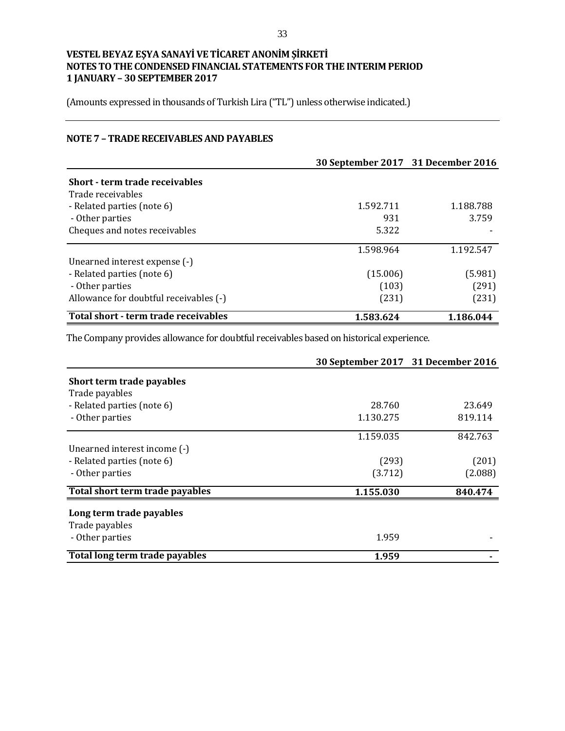(Amounts expressed in thousands of Turkish Lira ("TL") unless otherwise indicated.)

## **NOTE 7 – TRADE RECEIVABLES AND PAYABLES**

|                                        | 30 September 2017 31 December 2016 |           |
|----------------------------------------|------------------------------------|-----------|
| Short - term trade receivables         |                                    |           |
| Trade receivables                      |                                    |           |
| - Related parties (note 6)             | 1.592.711                          | 1.188.788 |
| - Other parties                        | 931                                | 3.759     |
| Cheques and notes receivables          | 5.322                              |           |
|                                        | 1.598.964                          | 1.192.547 |
| Unearned interest expense (-)          |                                    |           |
| - Related parties (note 6)             | (15.006)                           | (5.981)   |
| - Other parties                        | (103)                              | (291)     |
| Allowance for doubtful receivables (-) | (231)                              | (231)     |
| Total short - term trade receivables   | 1.583.624                          | 1.186.044 |

The Company provides allowance for doubtful receivables based on historical experience.

|                                 | 30 September 2017 31 December 2016 |         |
|---------------------------------|------------------------------------|---------|
| Short term trade payables       |                                    |         |
| Trade payables                  |                                    |         |
| - Related parties (note 6)      | 28.760                             | 23.649  |
| - Other parties                 | 1.130.275                          | 819.114 |
|                                 | 1.159.035                          | 842.763 |
| Unearned interest income (-)    |                                    |         |
| - Related parties (note 6)      | (293)                              | (201)   |
| - Other parties                 | (3.712)                            | (2.088) |
| Total short term trade payables | 1.155.030                          | 840.474 |
| Long term trade payables        |                                    |         |
| Trade payables                  |                                    |         |
| - Other parties                 | 1.959                              |         |
| Total long term trade payables  | 1.959                              |         |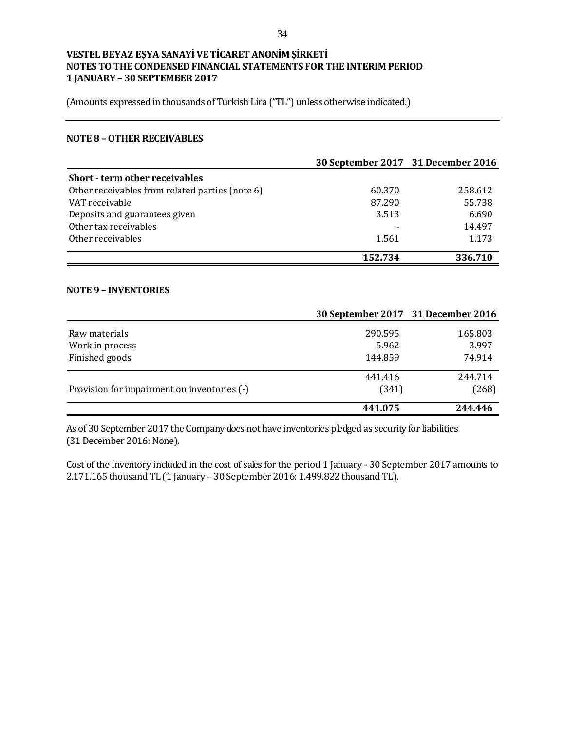(Amounts expressed in thousands of Turkish Lira ("TL") unless otherwise indicated.)

#### **NOTE 8 –OTHER RECEIVABLES**

|                                                 | 30 September 2017 31 December 2016 |         |
|-------------------------------------------------|------------------------------------|---------|
| Short - term other receivables                  |                                    |         |
| Other receivables from related parties (note 6) | 60.370                             | 258.612 |
| VAT receivable                                  | 87.290                             | 55.738  |
| Deposits and guarantees given                   | 3.513                              | 6.690   |
| Other tax receivables                           |                                    | 14.497  |
| Other receivables                               | 1.561                              | 1.173   |
|                                                 | 152.734                            | 336.710 |

#### **NOTE 9 – INVENTORIES**

|                                             | 30 September 2017 31 December 2016 |         |
|---------------------------------------------|------------------------------------|---------|
| Raw materials                               | 290.595                            | 165.803 |
| Work in process                             | 5.962                              | 3.997   |
| Finished goods                              | 144.859                            | 74.914  |
|                                             | 441.416                            | 244.714 |
| Provision for impairment on inventories (-) | (341)                              | (268)   |
|                                             | 441.075                            | 244.446 |

As of 30 September 2017 the Company does not have inventories pledged as security for liabilities (31 December 2016: None).

Cost of the inventory included in the cost of sales for the period 1 January - 30 September 2017 amounts to 2.171.165 thousand TL (1 January – 30 September 2016: 1.499.822 thousand TL).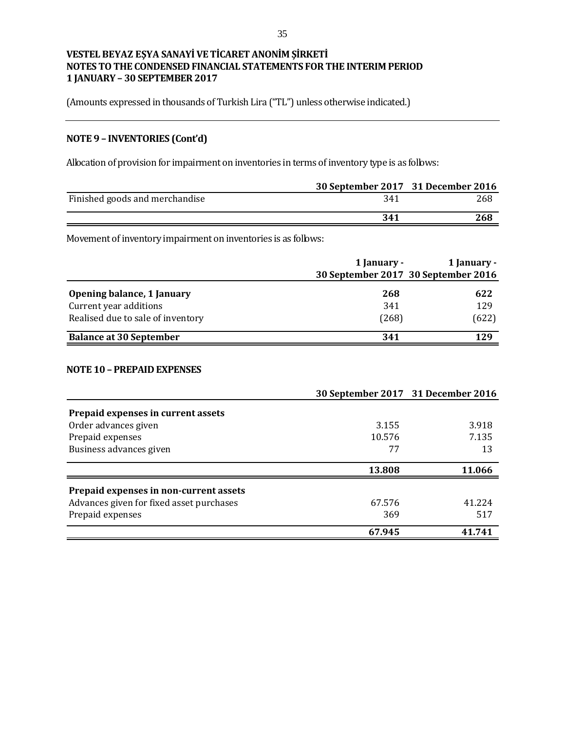(Amounts expressed in thousands of Turkish Lira ("TL") unless otherwise indicated.)

# **NOTE 9 – INVENTORIES (Cont'd)**

Allocation of provision for impairment on inventories in terms of inventory type is as follows:

|                                                                |             | 30 September 2017 31 December 2016                 |
|----------------------------------------------------------------|-------------|----------------------------------------------------|
| Finished goods and merchandise                                 | 341         | 268                                                |
|                                                                | 341         | 268                                                |
| Movement of inventory impairment on inventories is as follows: |             |                                                    |
|                                                                | 1 January - | 1 January -<br>30 September 2017 30 September 2016 |
| Opening balance, 1 January                                     | 268         | 622                                                |
| Current year additions                                         | 341         | 129                                                |
| Realised due to sale of inventory                              | (268)       | (622)                                              |
| <b>Balance at 30 September</b>                                 | 341         | 129                                                |

#### **NOTE 10 – PREPAID EXPENSES**

|                                          |        | 30 September 2017 31 December 2016 |
|------------------------------------------|--------|------------------------------------|
| Prepaid expenses in current assets       |        |                                    |
| Order advances given                     | 3.155  | 3.918                              |
| Prepaid expenses                         | 10.576 | 7.135                              |
| Business advances given                  | 77     | 13                                 |
|                                          | 13.808 | 11.066                             |
| Prepaid expenses in non-current assets   |        |                                    |
| Advances given for fixed asset purchases | 67.576 | 41.224                             |
| Prepaid expenses                         | 369    | 517                                |
|                                          | 67.945 | 41.741                             |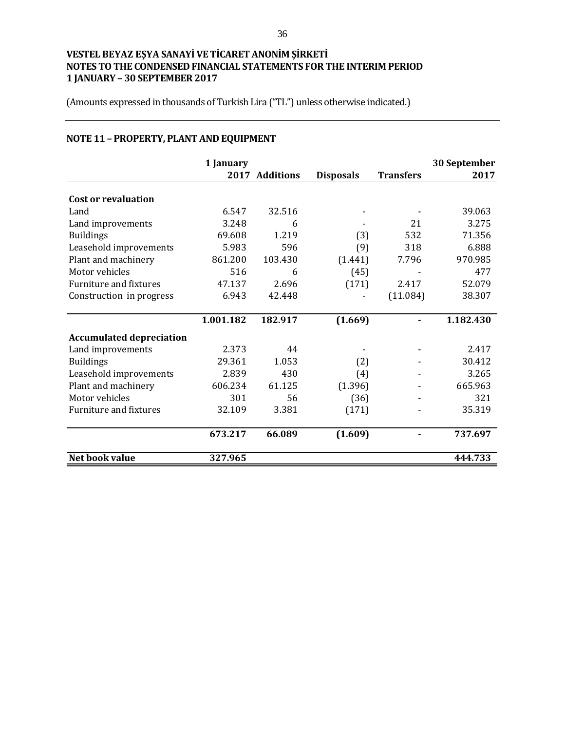(Amounts expressed in thousands of Turkish Lira ("TL") unless otherwise indicated.)

# **NOTE 11 – PROPERTY, PLANT AND EQUIPMENT**

|                                 | 1 January |                |                  |                  | 30 September |
|---------------------------------|-----------|----------------|------------------|------------------|--------------|
|                                 |           | 2017 Additions | <b>Disposals</b> | <b>Transfers</b> | 2017         |
| <b>Cost or revaluation</b>      |           |                |                  |                  |              |
| Land                            | 6.547     | 32.516         |                  |                  | 39.063       |
| Land improvements               | 3.248     | 6              |                  | 21               | 3.275        |
| <b>Buildings</b>                | 69.608    | 1.219          | (3)              | 532              | 71.356       |
| Leasehold improvements          | 5.983     | 596            | (9)              | 318              | 6.888        |
| Plant and machinery             | 861.200   | 103.430        | (1.441)          | 7.796            | 970.985      |
| Motor vehicles                  | 516       | 6              | (45)             |                  | 477          |
| Furniture and fixtures          | 47.137    | 2.696          | (171)            | 2.417            | 52.079       |
| Construction in progress        | 6.943     | 42.448         |                  | (11.084)         | 38.307       |
|                                 |           |                |                  |                  |              |
|                                 | 1.001.182 | 182.917        | (1.669)          |                  | 1.182.430    |
| <b>Accumulated depreciation</b> |           |                |                  |                  |              |
| Land improvements               | 2.373     | 44             |                  |                  | 2.417        |
| <b>Buildings</b>                | 29.361    | 1.053          | (2)              |                  | 30.412       |
| Leasehold improvements          | 2.839     | 430            | (4)              |                  | 3.265        |
| Plant and machinery             | 606.234   | 61.125         | (1.396)          |                  | 665.963      |
| Motor vehicles                  | 301       | 56             | (36)             |                  | 321          |
| <b>Furniture and fixtures</b>   | 32.109    | 3.381          | (171)            |                  | 35.319       |
|                                 | 673.217   | 66.089         | (1.609)          |                  | 737.697      |
| Net book value                  | 327.965   |                |                  |                  | 444.733      |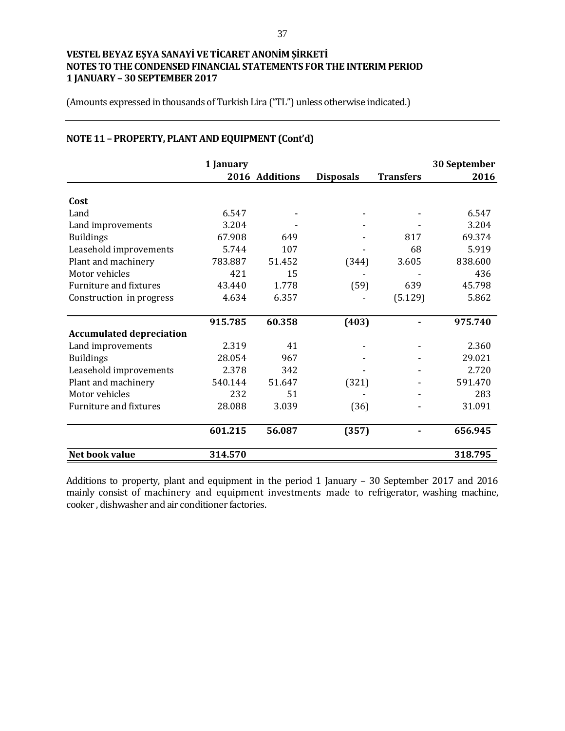(Amounts expressed in thousands of Turkish Lira ("TL") unless otherwise indicated.)

|                                 | 1 January |                |                  |                  | 30 September |
|---------------------------------|-----------|----------------|------------------|------------------|--------------|
|                                 |           | 2016 Additions | <b>Disposals</b> | <b>Transfers</b> | 2016         |
| Cost                            |           |                |                  |                  |              |
| Land                            | 6.547     |                |                  |                  | 6.547        |
| Land improvements               | 3.204     |                |                  |                  | 3.204        |
| <b>Buildings</b>                | 67.908    | 649            |                  | 817              | 69.374       |
| Leasehold improvements          | 5.744     | 107            |                  | 68               | 5.919        |
| Plant and machinery             | 783.887   | 51.452         | (344)            | 3.605            | 838.600      |
| Motor vehicles                  | 421       | 15             |                  |                  | 436          |
| <b>Furniture and fixtures</b>   | 43.440    | 1.778          | (59)             | 639              | 45.798       |
| Construction in progress        | 4.634     | 6.357          |                  | (5.129)          | 5.862        |
|                                 | 915.785   | 60.358         | (403)            |                  | 975.740      |
| <b>Accumulated depreciation</b> |           |                |                  |                  |              |
| Land improvements               | 2.319     | 41             |                  |                  | 2.360        |
| <b>Buildings</b>                | 28.054    | 967            |                  |                  | 29.021       |
| Leasehold improvements          | 2.378     | 342            |                  |                  | 2.720        |
| Plant and machinery             | 540.144   | 51.647         | (321)            |                  | 591.470      |
| Motor vehicles                  | 232       | 51             |                  |                  | 283          |
| <b>Furniture and fixtures</b>   | 28.088    | 3.039          | (36)             |                  | 31.091       |
|                                 | 601.215   | 56.087         | (357)            |                  | 656.945      |
| Net book value                  | 314.570   |                |                  |                  | 318.795      |

# **NOTE 11 – PROPERTY, PLANT AND EQUIPMENT (Cont'd)**

Additions to property, plant and equipment in the period 1 January – 30 September 2017 and 2016 mainly consist of machinery and equipment investments made to refrigerator, washing machine, cooker , dishwasher and air conditioner factories.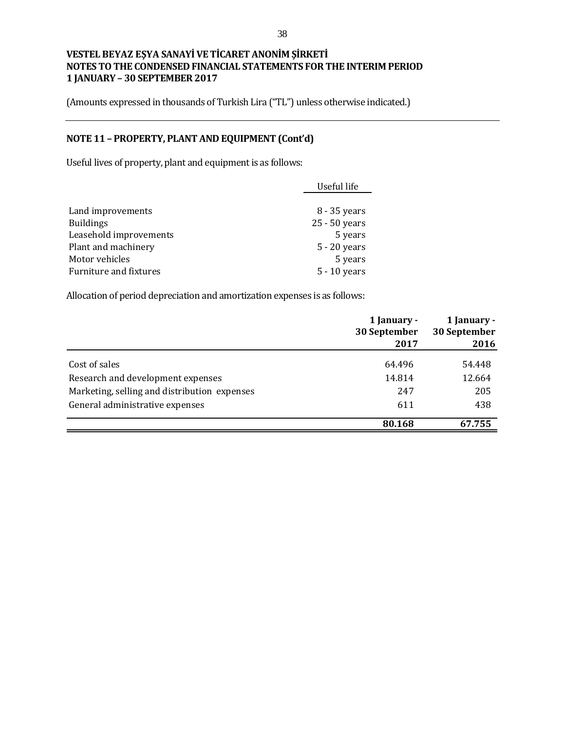(Amounts expressed in thousands of Turkish Lira ("TL") unless otherwise indicated.)

# **NOTE 11 – PROPERTY, PLANT AND EQUIPMENT (Cont'd)**

Useful lives of property, plant and equipment is as follows:

|                        | Useful life    |
|------------------------|----------------|
|                        |                |
| Land improvements      | 8 - 35 years   |
| <b>Buildings</b>       | 25 - 50 years  |
| Leasehold improvements | 5 years        |
| Plant and machinery    | $5 - 20$ years |
| Motor vehicles         | 5 years        |
| Furniture and fixtures | 5 - 10 years   |

Allocation of period depreciation and amortization expenses is as follows:

|                                              | 1 January -<br>30 September<br>2017 | 1 January -<br>30 September<br>2016 |
|----------------------------------------------|-------------------------------------|-------------------------------------|
| Cost of sales                                | 64.496                              | 54.448                              |
| Research and development expenses            | 14.814                              | 12.664                              |
| Marketing, selling and distribution expenses | 247                                 | 205                                 |
| General administrative expenses              | 611                                 | 438                                 |
|                                              | 80.168                              | 67.755                              |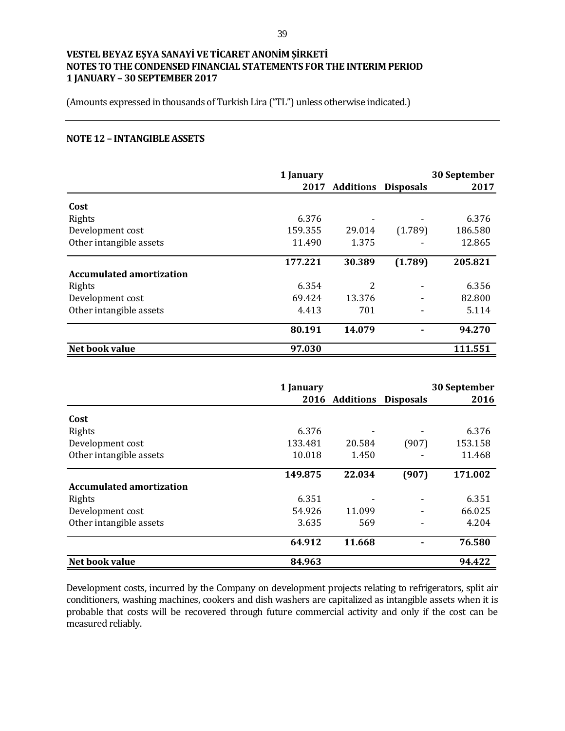(Amounts expressed in thousands of Turkish Lira ("TL") unless otherwise indicated.)

#### **NOTE 12 – INTANGIBLE ASSETS**

|                                 | 1 January |                  |                  | 30 September |
|---------------------------------|-----------|------------------|------------------|--------------|
|                                 | 2017      | <b>Additions</b> | <b>Disposals</b> | 2017         |
| Cost                            |           |                  |                  |              |
| Rights                          | 6.376     |                  |                  | 6.376        |
| Development cost                | 159.355   | 29.014           | (1.789)          | 186.580      |
| Other intangible assets         | 11.490    | 1.375            |                  | 12.865       |
|                                 | 177.221   | 30.389           | (1.789)          | 205.821      |
| <b>Accumulated amortization</b> |           |                  |                  |              |
| Rights                          | 6.354     | 2                |                  | 6.356        |
| Development cost                | 69.424    | 13.376           |                  | 82.800       |
| Other intangible assets         | 4.413     | 701              |                  | 5.114        |
|                                 | 80.191    | 14.079           |                  | 94.270       |
| Net book value                  | 97.030    |                  |                  | 111.551      |

|                                 | 1 January |                |                  | 30 September |
|---------------------------------|-----------|----------------|------------------|--------------|
|                                 |           | 2016 Additions | <b>Disposals</b> | 2016         |
| Cost                            |           |                |                  |              |
| Rights                          | 6.376     |                |                  | 6.376        |
| Development cost                | 133.481   | 20.584         | (907)            | 153.158      |
| Other intangible assets         | 10.018    | 1.450          |                  | 11.468       |
|                                 | 149.875   | 22.034         | (907)            | 171.002      |
| <b>Accumulated amortization</b> |           |                |                  |              |
| Rights                          | 6.351     |                |                  | 6.351        |
| Development cost                | 54.926    | 11.099         |                  | 66.025       |
| Other intangible assets         | 3.635     | 569            |                  | 4.204        |
|                                 | 64.912    | 11.668         |                  | 76.580       |
| Net book value                  | 84.963    |                |                  | 94.422       |

Development costs, incurred by the Company on development projects relating to refrigerators, split air conditioners, washing machines, cookers and dish washers are capitalized as intangible assets when it is probable that costs will be recovered through future commercial activity and only if the cost can be measured reliably.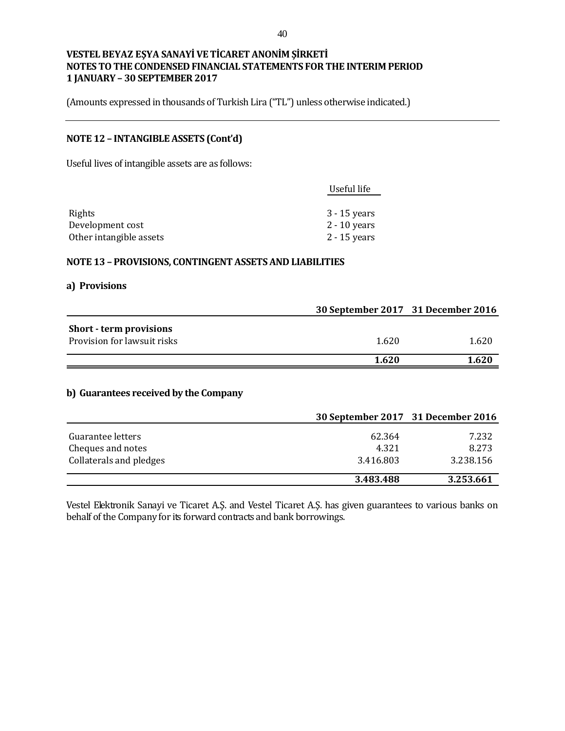(Amounts expressed in thousands of Turkish Lira ("TL") unless otherwise indicated.)

# **NOTE 12 – INTANGIBLE ASSETS (Cont'd)**

Useful lives of intangible assets are as follows:

|                         | Useful life    |
|-------------------------|----------------|
|                         |                |
| Rights                  | 3 - 15 years   |
| Development cost        | $2 - 10$ years |
| Other intangible assets | 2 - 15 years   |
|                         |                |

#### **NOTE 13 – PROVISIONS, CONTINGENT ASSETS AND LIABILITIES**

#### **a) Provisions**

|                                | 30 September 2017 31 December 2016 |       |
|--------------------------------|------------------------------------|-------|
| <b>Short - term provisions</b> |                                    |       |
| Provision for lawsuit risks    | 1.620                              | 1.620 |
|                                | 1.620                              | 1.620 |
|                                |                                    |       |

#### **b) Guarantees received by the Company**

|                                        | 30 September 2017 31 December 2016 |                |
|----------------------------------------|------------------------------------|----------------|
| Guarantee letters<br>Cheques and notes | 62.364<br>4.321                    | 7.232<br>8.273 |
| Collaterals and pledges                | 3.416.803                          | 3.238.156      |
|                                        | 3.483.488                          | 3.253.661      |

Vestel Elektronik Sanayi ve Ticaret A.Ş. and Vestel Ticaret A.Ş. has given guarantees to various banks on behalf of the Company for its forward contracts and bank borrowings.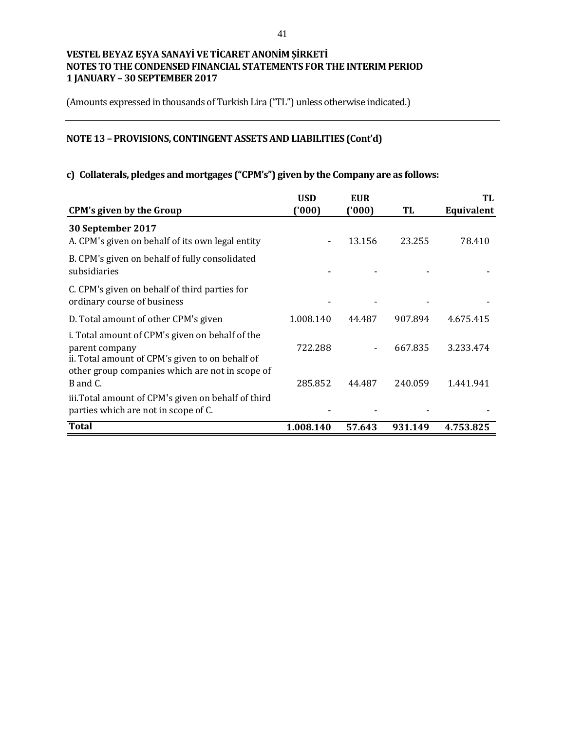(Amounts expressed in thousands of Turkish Lira ("TL") unless otherwise indicated.)

# **NOTE 13 – PROVISIONS, CONTINGENT ASSETS AND LIABILITIES (Cont'd)**

# **c) Collaterals, pledges and mortgages ("CPM's") given by the Company are as follows:**

|                                                                                                                                                                         | <b>USD</b> | <b>EUR</b> |         | TL         |
|-------------------------------------------------------------------------------------------------------------------------------------------------------------------------|------------|------------|---------|------------|
| <b>CPM's given by the Group</b>                                                                                                                                         | ('000)     | ('000)     | TL      | Equivalent |
| 30 September 2017<br>A. CPM's given on behalf of its own legal entity                                                                                                   |            | 13.156     | 23.255  | 78.410     |
| B. CPM's given on behalf of fully consolidated<br>subsidiaries                                                                                                          |            |            |         |            |
| C. CPM's given on behalf of third parties for<br>ordinary course of business                                                                                            |            |            |         |            |
| D. Total amount of other CPM's given                                                                                                                                    | 1.008.140  | 44.487     | 907.894 | 4.675.415  |
| i. Total amount of CPM's given on behalf of the<br>parent company<br>ii. Total amount of CPM's given to on behalf of<br>other group companies which are not in scope of | 722.288    |            | 667.835 | 3.233.474  |
| B and C.                                                                                                                                                                | 285.852    | 44.487     | 240.059 | 1.441.941  |
| iii. Total amount of CPM's given on behalf of third<br>parties which are not in scope of C.                                                                             |            |            |         |            |
| <b>Total</b>                                                                                                                                                            | 1.008.140  | 57.643     | 931.149 | 4.753.825  |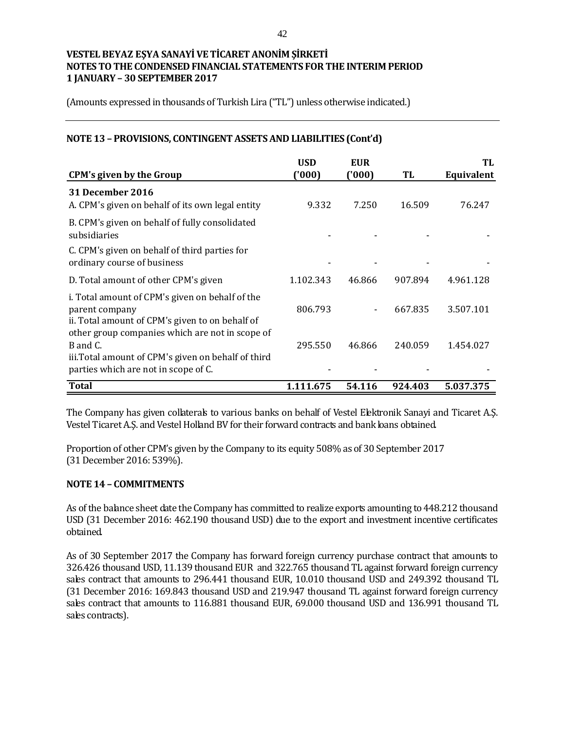(Amounts expressed in thousands of Turkish Lira ("TL") unless otherwise indicated.)

### **NOTE 13 – PROVISIONS, CONTINGENT ASSETS AND LIABILITIES (Cont'd)**

|                                                                                                                                                                         | <b>USD</b> | <b>EUR</b> |         | TL         |
|-------------------------------------------------------------------------------------------------------------------------------------------------------------------------|------------|------------|---------|------------|
| <b>CPM's given by the Group</b>                                                                                                                                         | ('000)     | (000)      | TL      | Equivalent |
| <b>31 December 2016</b><br>A. CPM's given on behalf of its own legal entity                                                                                             | 9.332      | 7.250      | 16.509  | 76.247     |
| B. CPM's given on behalf of fully consolidated<br>subsidiaries                                                                                                          |            |            |         |            |
| C. CPM's given on behalf of third parties for<br>ordinary course of business                                                                                            |            |            |         |            |
| D. Total amount of other CPM's given                                                                                                                                    | 1.102.343  | 46.866     | 907.894 | 4.961.128  |
| i. Total amount of CPM's given on behalf of the<br>parent company<br>ii. Total amount of CPM's given to on behalf of<br>other group companies which are not in scope of | 806.793    |            | 667.835 | 3.507.101  |
| B and C.<br>iii. Total amount of CPM's given on behalf of third<br>parties which are not in scope of C.                                                                 | 295.550    | 46.866     | 240.059 | 1.454.027  |
| <b>Total</b>                                                                                                                                                            | 1.111.675  | 54.116     | 924.403 | 5.037.375  |

The Company has given collaterals to various banks on behalf of Vestel Elektronik Sanayi and Ticaret A.S. Vestel Ticaret A.Ş. and Vestel Holland BV for their forward contracts and bank loans obtained.

Proportion of other CPM's given by the Company to its equity 508% as of 30 September 2017 (31 December 2016: 539%).

#### **NOTE 14 – COMMITMENTS**

As of the balance sheet date the Company has committed to realize exports amounting to 448.212 thousand USD (31 December 2016: 462.190 thousand USD) due to the export and investment incentive certificates obtained.

As of 30 September 2017 the Company has forward foreign currency purchase contract that amounts to 326.426 thousand USD, 11.139 thousand EUR and 322.765 thousand TL against forward foreign currency sales contract that amounts to 296.441 thousand EUR, 10.010 thousand USD and 249.392 thousand TL (31 December 2016: 169.843 thousand USD and 219.947 thousand TL against forward foreign currency sales contract that amounts to 116.881 thousand EUR, 69.000 thousand USD and 136.991 thousand TL sales contracts).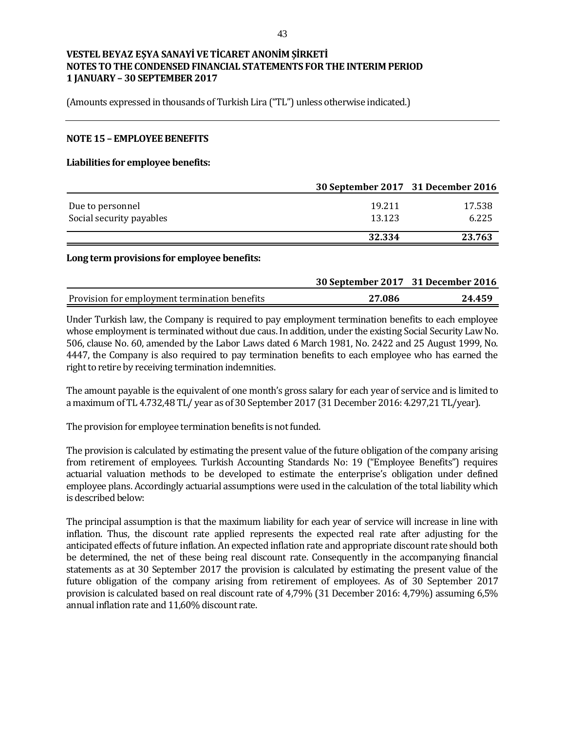(Amounts expressed in thousands of Turkish Lira ("TL") unless otherwise indicated.)

#### **NOTE 15 – EMPLOYEE BENEFITS**

#### **Liabilities for employee benefits:**

|                          | 30 September 2017 31 December 2016 |        |
|--------------------------|------------------------------------|--------|
| Due to personnel         | 19.211                             | 17.538 |
| Social security payables | 13.123                             | 6.225  |
|                          | 32.334                             | 23.763 |

#### **Long term provisions for employee benefits:**

|                                               | 30 September 2017 31 December 2016 |        |
|-----------------------------------------------|------------------------------------|--------|
| Provision for employment termination benefits | 27.086                             | 24.459 |

Under Turkish law, the Company is required to pay employment termination benefits to each employee whose employment is terminated without due caus. In addition, under the existing Social Security Law No. 506, clause No. 60, amended by the Labor Laws dated 6 March 1981, No. 2422 and 25 August 1999, No. 4447, the Company is also required to pay termination benefits to each employee who has earned the right to retire by receiving termination indemnities.

The amount payable is the equivalent of one month's gross salary for each year of service and is limited to a maximum of TL 4.732,48 TL/ year as of 30 September 2017 (31 December 2016: 4.297,21 TL/year).

The provision for employee termination benefits is not funded.

The provision is calculated by estimating the present value of the future obligation of the company arising from retirement of employees. Turkish Accounting Standards No: 19 ("Employee Benefits") requires actuarial valuation methods to be developed to estimate the enterprise's obligation under defined employee plans. Accordingly actuarial assumptions were used in the calculation of the total liability which is described below:

The principal assumption is that the maximum liability for each year of service will increase in line with inflation. Thus, the discount rate applied represents the expected real rate after adjusting for the anticipated effects of future inflation. An expected inflation rate and appropriate discount rate should both be determined, the net of these being real discount rate. Consequently in the accompanying financial statements as at 30 September 2017 the provision is calculated by estimating the present value of the future obligation of the company arising from retirement of employees. As of 30 September 2017 provision is calculated based on real discount rate of 4,79% (31 December 2016: 4,79%) assuming 6,5% annual inflation rate and 11,60% discount rate.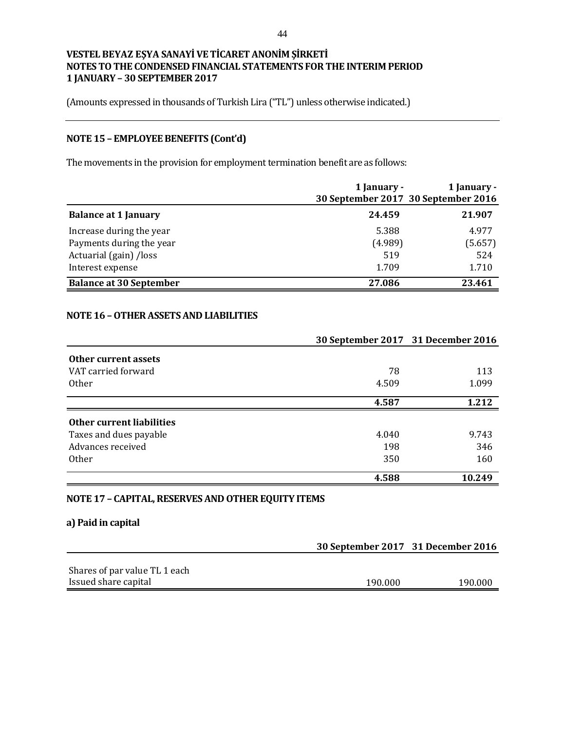(Amounts expressed in thousands of Turkish Lira ("TL") unless otherwise indicated.)

# **NOTE 15 – EMPLOYEE BENEFITS (Cont'd)**

The movements in the provision for employment termination benefit are as follows:

|                                | 1 January -<br>30 September 2017 30 September 2016 | 1 January - |
|--------------------------------|----------------------------------------------------|-------------|
| <b>Balance at 1 January</b>    | 24.459                                             | 21.907      |
| Increase during the year       | 5.388                                              | 4.977       |
| Payments during the year       | (4.989)                                            | (5.657)     |
| Actuarial (gain) /loss         | 519                                                | 524         |
| Interest expense               | 1.709                                              | 1.710       |
| <b>Balance at 30 September</b> | 27.086                                             | 23.461      |

## **NOTE 16 –OTHER ASSETS AND LIABILITIES**

|                                  | 30 September 2017 31 December 2016 |        |
|----------------------------------|------------------------------------|--------|
| Other current assets             |                                    |        |
| VAT carried forward              | 78                                 | 113    |
| <b>Other</b>                     | 4.509                              | 1.099  |
|                                  | 4.587                              | 1.212  |
| <b>Other current liabilities</b> |                                    |        |
| Taxes and dues payable           | 4.040                              | 9.743  |
| Advances received                | 198                                | 346    |
| <b>Other</b>                     | 350                                | 160    |
|                                  | 4.588                              | 10.249 |

### **NOTE 17 – CAPITAL, RESERVES AND OTHER EQUITY ITEMS**

### **a) Paid in capital**

|                               | 30 September 2017 31 December 2016 |         |  |
|-------------------------------|------------------------------------|---------|--|
|                               |                                    |         |  |
| Shares of par value TL 1 each |                                    |         |  |
| Issued share capital          | 190.000                            | 190.000 |  |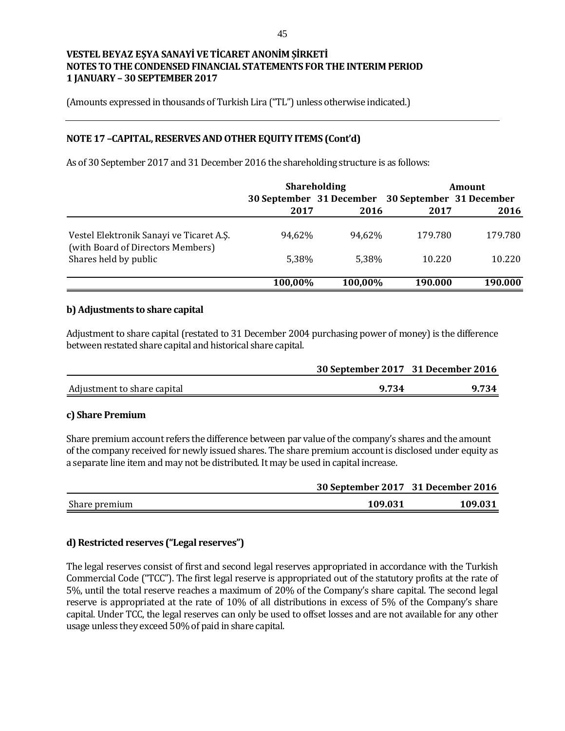(Amounts expressed in thousands of Turkish Lira ("TL") unless otherwise indicated.)

### **NOTE 17 –CAPITAL, RESERVES AND OTHER EQUITY ITEMS (Cont'd)**

As of 30 September 2017 and 31 December 2016 the shareholding structure is as follows:

|                                                                               | <b>Shareholding</b>                               |         | <b>Amount</b> |         |
|-------------------------------------------------------------------------------|---------------------------------------------------|---------|---------------|---------|
|                                                                               | 30 September 31 December 30 September 31 December |         |               |         |
|                                                                               | 2017                                              | 2016    | 2017          | 2016    |
| Vestel Elektronik Sanayi ve Ticaret A.S.<br>(with Board of Directors Members) | 94,62%                                            | 94.62%  | 179.780       | 179.780 |
| Shares held by public                                                         | 5,38%                                             | 5.38%   | 10.220        | 10.220  |
|                                                                               | 100,00%                                           | 100,00% | 190.000       | 190.000 |

#### **b) Adjustments to share capital**

Adjustment to share capital (restated to 31 December 2004 purchasing power of money) is the difference between restated share capital and historical share capital.

|                             | 30 September 2017 31 December 2016 |       |
|-----------------------------|------------------------------------|-------|
| Adjustment to share capital | 9.734                              | 9.734 |

#### **c) Share Premium**

Share premium account refers the difference between par value of the company's shares and the amount of the company received for newly issued shares. The share premium account is disclosed under equity as a separate line item and may not be distributed. It may be used in capital increase.

|               |         | 30 September 2017 31 December 2016 |  |
|---------------|---------|------------------------------------|--|
| Share premium | 109.031 | 109.031                            |  |

## **d) Restricted reserves ("Legal reserves")**

The legal reserves consist of first and second legal reserves appropriated in accordance with the Turkish Commercial Code ("TCC"). The first legal reserve is appropriated out of the statutory profits at the rate of 5%, until the total reserve reaches a maximum of 20% of the Company's share capital. The second legal reserve is appropriated at the rate of 10% of all distributions in excess of 5% of the Company's share capital. Under TCC, the legal reserves can only be used to offset losses and are not available for any other usage unless they exceed 50% of paid in share capital.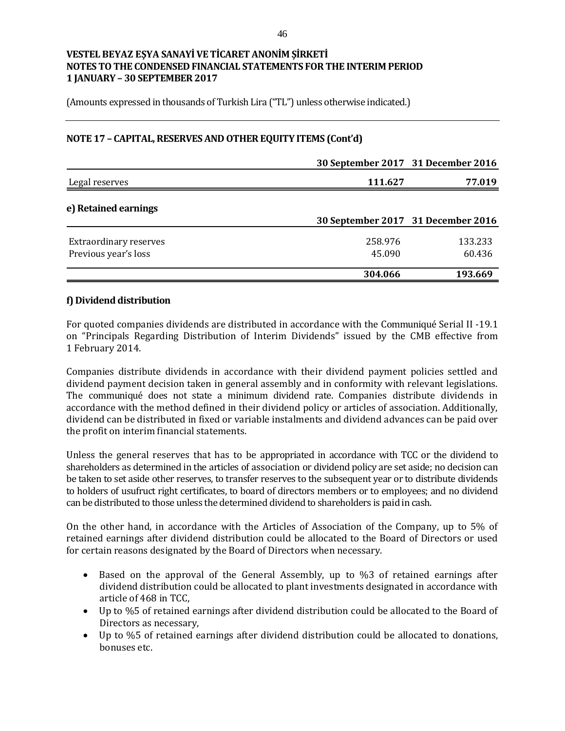(Amounts expressed in thousands of Turkish Lira ("TL") unless otherwise indicated.)

### **NOTE 17 – CAPITAL, RESERVES AND OTHER EQUITY ITEMS (Cont'd)**

|                                                       | 30 September 2017 31 December 2016 |                   |
|-------------------------------------------------------|------------------------------------|-------------------|
| Legal reserves                                        | 111.627                            | 77.019            |
| e) Retained earnings                                  | 30 September 2017 31 December 2016 |                   |
| <b>Extraordinary reserves</b><br>Previous year's loss | 258.976<br>45.090                  | 133.233<br>60.436 |
|                                                       | 304.066                            | 193.669           |

### **f) Dividend distribution**

For quoted companies dividends are distributed in accordance with the Communiqué Serial II -19.1 on "Principals Regarding Distribution of Interim Dividends" issued by the CMB effective from 1 February 2014.

Companies distribute dividends in accordance with their dividend payment policies settled and dividend payment decision taken in general assembly and in conformity with relevant legislations. The communiqué does not state a minimum dividend rate. Companies distribute dividends in accordance with the method defined in their dividend policy or articles of association. Additionally, dividend can be distributed in fixed or variable instalments and dividend advances can be paid over the profit on interim financial statements.

Unless the general reserves that has to be appropriated in accordance with TCC or the dividend to shareholders as determined in the articles of association or dividend policy are set aside; no decision can be taken to set aside other reserves, to transfer reserves to the subsequent year or to distribute dividends to holders of usufruct right certificates, to board of directors members or to employees; and no dividend can be distributed to those unless the determined dividend to shareholders is paid in cash.

On the other hand, in accordance with the Articles of Association of the Company, up to 5% of retained earnings after dividend distribution could be allocated to the Board of Directors or used for certain reasons designated by the Board of Directors when necessary.

- Based on the approval of the General Assembly, up to %3 of retained earnings after dividend distribution could be allocated to plant investments designated in accordance with article of 468 in TCC,
- Up to %5 of retained earnings after dividend distribution could be allocated to the Board of Directors as necessary,
- Up to %5 of retained earnings after dividend distribution could be allocated to donations, bonuses etc.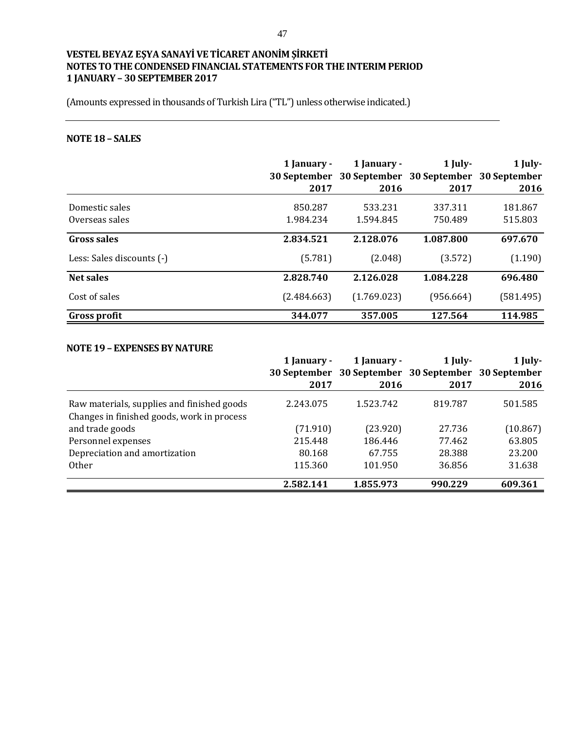(Amounts expressed in thousands of Turkish Lira ("TL") unless otherwise indicated.)

# **NOTE 18 – SALES**

|                           | 1 January -<br>30 September | 1 January - | $1$ July-<br>30 September 30 September 30 September | 1 July-   |
|---------------------------|-----------------------------|-------------|-----------------------------------------------------|-----------|
|                           | 2017                        | 2016        | 2017                                                | 2016      |
| Domestic sales            | 850.287                     | 533.231     | 337.311                                             | 181.867   |
| Overseas sales            | 1.984.234                   | 1.594.845   | 750.489                                             | 515.803   |
| <b>Gross sales</b>        | 2.834.521                   | 2.128.076   | 1.087.800                                           | 697.670   |
| Less: Sales discounts (-) | (5.781)                     | (2.048)     | (3.572)                                             | (1.190)   |
| Net sales                 | 2.828.740                   | 2.126.028   | 1.084.228                                           | 696.480   |
| Cost of sales             | (2.484.663)                 | (1.769.023) | (956.664)                                           | (581.495) |
| <b>Gross profit</b>       | 344.077                     | 357.005     | 127.564                                             | 114.985   |

#### **NOTE 19 – EXPENSES BY NATURE**

|                                                                                          | 1 January - | 1 January - | 1 July-                                             | 1 July-  |
|------------------------------------------------------------------------------------------|-------------|-------------|-----------------------------------------------------|----------|
|                                                                                          |             |             | 30 September 30 September 30 September 30 September |          |
|                                                                                          | 2017        | 2016        | 2017                                                | 2016     |
| Raw materials, supplies and finished goods<br>Changes in finished goods, work in process | 2.243.075   | 1.523.742   | 819.787                                             | 501.585  |
| and trade goods                                                                          | (71.910)    | (23.920)    | 27.736                                              | (10.867) |
| Personnel expenses                                                                       | 215.448     | 186.446     | 77.462                                              | 63.805   |
| Depreciation and amortization                                                            | 80.168      | 67.755      | 28.388                                              | 23.200   |
| <b>Other</b>                                                                             | 115.360     | 101.950     | 36.856                                              | 31.638   |
|                                                                                          | 2.582.141   | 1.855.973   | 990.229                                             | 609.361  |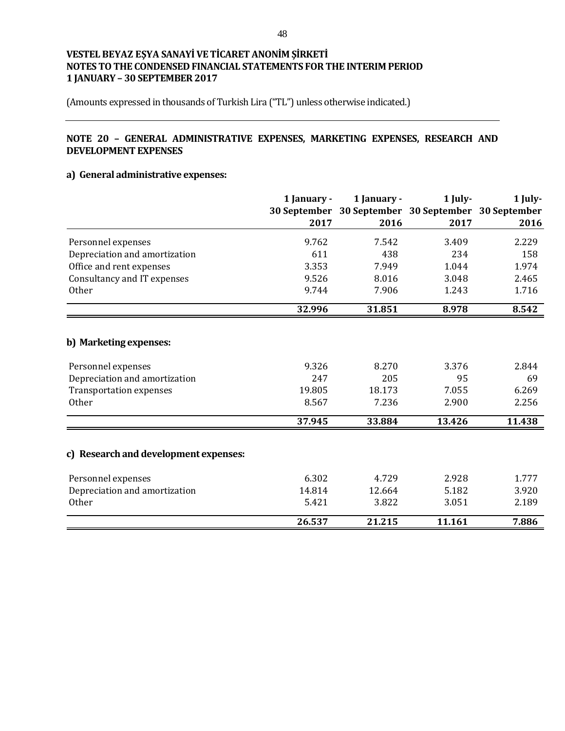(Amounts expressed in thousands of Turkish Lira ("TL") unless otherwise indicated.)

# **NOTE 20 – GENERAL ADMINISTRATIVE EXPENSES, MARKETING EXPENSES, RESEARCH AND DEVELOPMENT EXPENSES**

### **a) General administrative expenses:**

|                                       | 1 January - | 1 January -                                         | 1 July- | 1 July- |
|---------------------------------------|-------------|-----------------------------------------------------|---------|---------|
|                                       |             | 30 September 30 September 30 September 30 September |         |         |
|                                       | 2017        | 2016                                                | 2017    | 2016    |
| Personnel expenses                    | 9.762       | 7.542                                               | 3.409   | 2.229   |
| Depreciation and amortization         | 611         | 438                                                 | 234     | 158     |
| Office and rent expenses              | 3.353       | 7.949                                               | 1.044   | 1.974   |
| Consultancy and IT expenses           | 9.526       | 8.016                                               | 3.048   | 2.465   |
| <b>Other</b>                          | 9.744       | 7.906                                               | 1.243   | 1.716   |
|                                       | 32.996      | 31.851                                              | 8.978   | 8.542   |
|                                       |             |                                                     |         |         |
| b) Marketing expenses:                |             |                                                     |         |         |
| Personnel expenses                    | 9.326       | 8.270                                               | 3.376   | 2.844   |
| Depreciation and amortization         | 247         | 205                                                 | 95      | 69      |
| <b>Transportation expenses</b>        | 19.805      | 18.173                                              | 7.055   | 6.269   |
| <b>Other</b>                          | 8.567       | 7.236                                               | 2.900   | 2.256   |
|                                       | 37.945      | 33.884                                              | 13.426  | 11.438  |
|                                       |             |                                                     |         |         |
| c) Research and development expenses: |             |                                                     |         |         |
| Personnel expenses                    | 6.302       | 4.729                                               | 2.928   | 1.777   |
| Depreciation and amortization         | 14.814      | 12.664                                              | 5.182   | 3.920   |
| <b>Other</b>                          | 5.421       | 3.822                                               | 3.051   | 2.189   |
|                                       | 26.537      | 21.215                                              | 11.161  | 7.886   |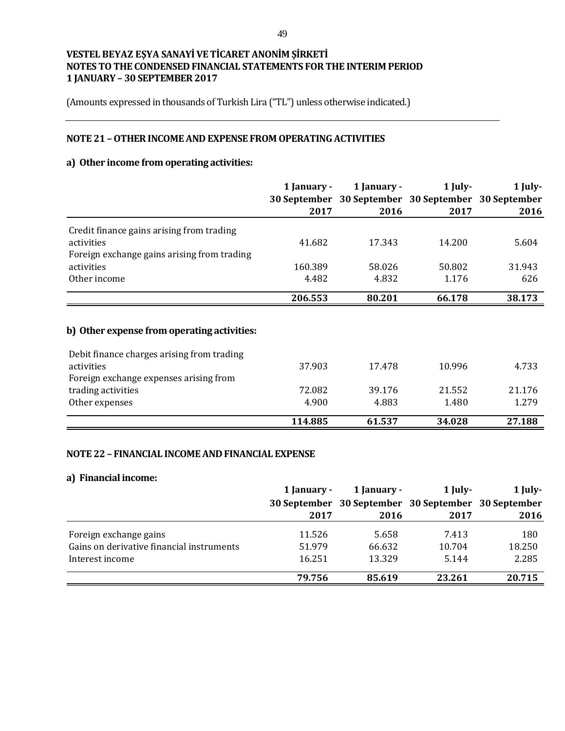(Amounts expressed in thousands of Turkish Lira ("TL") unless otherwise indicated.)

### **NOTE 21 –OTHER INCOME AND EXPENSE FROM OPERATING ACTIVITIES**

# **a) Other income from operating activities:**

|                                             | 1 January -         | 1 January - |                                        | $1$ July- | 1 July- |
|---------------------------------------------|---------------------|-------------|----------------------------------------|-----------|---------|
|                                             | <b>30 September</b> |             | 30 September 30 September 30 September |           |         |
|                                             | 2017                | 2016        | 2017                                   | 2016      |         |
| Credit finance gains arising from trading   |                     |             |                                        |           |         |
| activities                                  | 41.682              | 17.343      | 14.200                                 | 5.604     |         |
| Foreign exchange gains arising from trading |                     |             |                                        |           |         |
| activities                                  | 160.389             | 58.026      | 50.802                                 | 31.943    |         |
| Other income                                | 4.482               | 4.832       | 1.176                                  | 626       |         |
|                                             | 206.553             | 80.201      | 66.178                                 | 38.173    |         |
| b) Other expense from operating activities: |                     |             |                                        |           |         |
| Debit finance charges arising from trading  |                     |             |                                        |           |         |
| activities                                  | 37.903              | 17.478      | 10.996                                 | 4.733     |         |
| Foreign exchange expenses arising from      |                     |             |                                        |           |         |
| trading activities                          | 72.082              | 39.176      | 21.552                                 | 21.176    |         |
| Other expenses                              | 4.900               | 4.883       | 1.480                                  | 1.279     |         |
|                                             | 114.885             | 61.537      | 34.028                                 | 27.188    |         |

### **NOTE 22 – FINANCIAL INCOME AND FINANCIAL EXPENSE**

### **a) Financial income:**

|                                           | 1 January - | 1 January -                                         | 1 July- | $1$ July- |
|-------------------------------------------|-------------|-----------------------------------------------------|---------|-----------|
|                                           |             | 30 September 30 September 30 September 30 September |         |           |
|                                           | 2017        | 2016                                                | 2017    | 2016      |
| Foreign exchange gains                    | 11.526      | 5.658                                               | 7.413   | 180       |
|                                           |             |                                                     |         |           |
| Gains on derivative financial instruments | 51.979      | 66.632                                              | 10.704  | 18.250    |
| Interest income                           | 16.251      | 13.329                                              | 5.144   | 2.285     |
|                                           | 79.756      | 85.619                                              | 23.261  | 20.715    |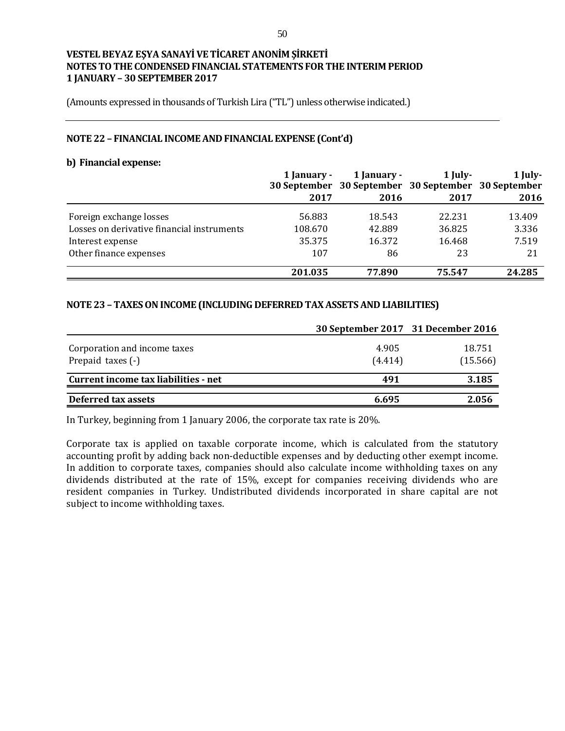(Amounts expressed in thousands of Turkish Lira ("TL") unless otherwise indicated.)

#### **NOTE 22 – FINANCIAL INCOME AND FINANCIAL EXPENSE (Cont'd)**

#### **b) Financial expense:**

|                                            | 1 January - | 1 January - | 1 July-<br>30 September 30 September 30 September 30 September | $1$ July- |
|--------------------------------------------|-------------|-------------|----------------------------------------------------------------|-----------|
|                                            | 2017        | 2016        | 2017                                                           | 2016      |
| Foreign exchange losses                    | 56.883      | 18.543      | 22.231                                                         | 13.409    |
| Losses on derivative financial instruments | 108.670     | 42.889      | 36.825                                                         | 3.336     |
| Interest expense                           | 35.375      | 16.372      | 16.468                                                         | 7.519     |
| Other finance expenses                     | 107         | 86          | 23                                                             | 21        |
|                                            | 201.035     | 77.890      | 75.547                                                         | 24.285    |

### **NOTE 23 – TAXES ON INCOME (INCLUDING DEFERRED TAX ASSETS AND LIABILITIES)**

|                                                   | 30 September 2017 31 December 2016 |                    |
|---------------------------------------------------|------------------------------------|--------------------|
| Corporation and income taxes<br>Prepaid taxes (-) | 4.905<br>(4.414)                   | 18.751<br>(15.566) |
| Current income tax liabilities - net              | 491                                | 3.185              |
| Deferred tax assets                               | 6.695                              | 2.056              |

In Turkey, beginning from 1 January 2006, the corporate tax rate is 20%.

Corporate tax is applied on taxable corporate income, which is calculated from the statutory accounting profit by adding back non-deductible expenses and by deducting other exempt income. In addition to corporate taxes, companies should also calculate income withholding taxes on any dividends distributed at the rate of 15%, except for companies receiving dividends who are resident companies in Turkey. Undistributed dividends incorporated in share capital are not subject to income withholding taxes.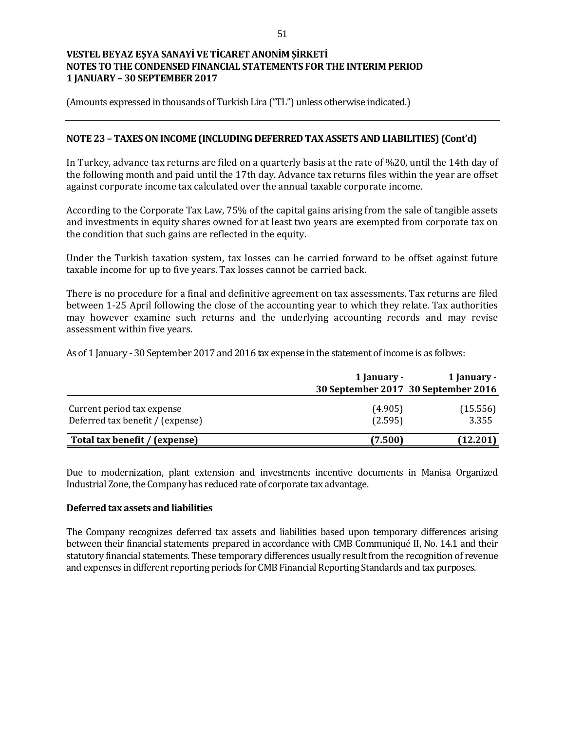(Amounts expressed in thousands of Turkish Lira ("TL") unless otherwise indicated.)

### **NOTE 23 – TAXES ON INCOME (INCLUDING DEFERRED TAX ASSETS AND LIABILITIES) (Cont'd)**

In Turkey, advance tax returns are filed on a quarterly basis at the rate of %20, until the 14th day of the following month and paid until the 17th day. Advance tax returns files within the year are offset against corporate income tax calculated over the annual taxable corporate income.

According to the Corporate Tax Law, 75% of the capital gains arising from the sale of tangible assets and investments in equity shares owned for at least two years are exempted from corporate tax on the condition that such gains are reflected in the equity.

Under the Turkish taxation system, tax losses can be carried forward to be offset against future taxable income for up to five years. Tax losses cannot be carried back.

There is no procedure for a final and definitive agreement on tax assessments. Tax returns are filed between 1-25 April following the close of the accounting year to which they relate. Tax authorities may however examine such returns and the underlying accounting records and may revise assessment within five years.

As of 1 January - 30 September 2017 and 2016 tax expense in the statement of income is as follows:

|                                                                | 1 January -        | 1 January -                         |
|----------------------------------------------------------------|--------------------|-------------------------------------|
|                                                                |                    | 30 September 2017 30 September 2016 |
| Current period tax expense<br>Deferred tax benefit / (expense) | (4.905)<br>(2.595) | (15.556)<br>3.355                   |
| Total tax benefit / (expense)                                  | (7.500)            | (12.201)                            |

Due to modernization, plant extension and investments incentive documents in Manisa Organized Industrial Zone, the Company has reduced rate of corporate tax advantage.

### **Deferred tax assets and liabilities**

The Company recognizes deferred tax assets and liabilities based upon temporary differences arising between their financial statements prepared in accordance with CMB Communiqué II, No. 14.1 and their statutory financial statements. These temporary differences usually result from the recognition of revenue and expenses in different reporting periods for CMB Financial Reporting Standards and tax purposes.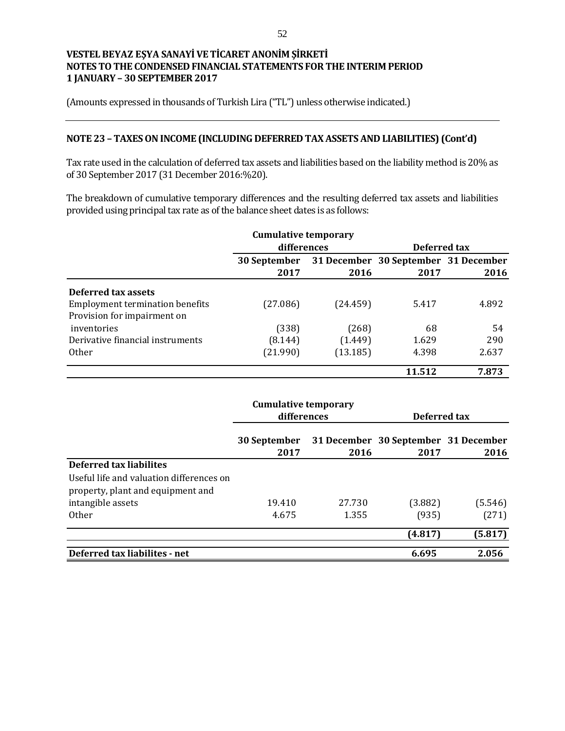(Amounts expressed in thousands of Turkish Lira ("TL") unless otherwise indicated.)

### **NOTE 23 – TAXES ON INCOME (INCLUDING DEFERRED TAX ASSETS AND LIABILITIES) (Cont'd)**

Tax rate used in the calculation of deferred tax assets and liabilities based on the liability method is 20% as of 30 September 2017 (31 December 2016:%20).

The breakdown of cumulative temporary differences and the resulting deferred tax assets and liabilities provided using principal tax rate as of the balance sheet dates is as follows:

|                                        | <b>Cumulative temporary</b> |          |                                      |       |
|----------------------------------------|-----------------------------|----------|--------------------------------------|-------|
|                                        | differences                 |          | Deferred tax                         |       |
|                                        | <b>30 September</b>         |          | 31 December 30 September 31 December |       |
|                                        | 2017                        | 2016     | 2017                                 | 2016  |
| Deferred tax assets                    |                             |          |                                      |       |
| <b>Employment termination benefits</b> | (27.086)                    | (24.459) | 5.417                                | 4.892 |
| Provision for impairment on            |                             |          |                                      |       |
| inventories                            | (338)                       | (268)    | 68                                   | 54    |
| Derivative financial instruments       | (8.144)                     | (1.449)  | 1.629                                | 290   |
| 0ther                                  | (21.990)                    | (13.185) | 4.398                                | 2.637 |
|                                        |                             |          | 11.512                               | 7.873 |

|                                                                               | <b>Cumulative temporary</b><br>differences |        | Deferred tax                                 |         |  |
|-------------------------------------------------------------------------------|--------------------------------------------|--------|----------------------------------------------|---------|--|
|                                                                               | 30 September<br>2017                       | 2016   | 31 December 30 September 31 December<br>2017 | 2016    |  |
| Deferred tax liabilites                                                       |                                            |        |                                              |         |  |
| Useful life and valuation differences on<br>property, plant and equipment and |                                            |        |                                              |         |  |
| intangible assets                                                             | 19.410                                     | 27.730 | (3.882)                                      | (5.546) |  |
| <b>Other</b>                                                                  | 4.675                                      | 1.355  | (935)                                        | (271)   |  |
|                                                                               |                                            |        | (4.817)                                      | (5.817) |  |
| Deferred tax liabilites - net                                                 |                                            |        | 6.695                                        | 2.056   |  |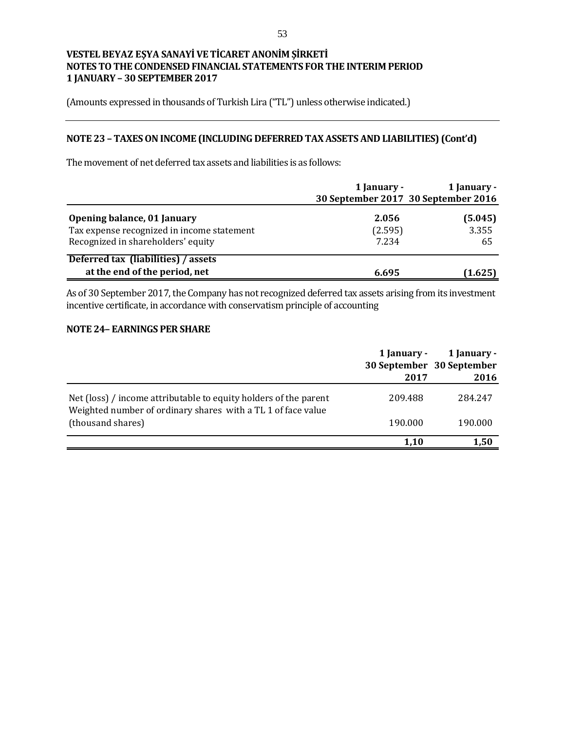(Amounts expressed in thousands of Turkish Lira ("TL") unless otherwise indicated.)

# **NOTE 23 – TAXES ON INCOME (INCLUDING DEFERRED TAX ASSETS AND LIABILITIES) (Cont'd)**

The movement of net deferred tax assets and liabilities is as follows:

|                                                                                                                 | 1 January -               | 1 January -<br>30 September 2017 30 September 2016 |
|-----------------------------------------------------------------------------------------------------------------|---------------------------|----------------------------------------------------|
| Opening balance, 01 January<br>Tax expense recognized in income statement<br>Recognized in shareholders' equity | 2.056<br>(2.595)<br>7.234 | (5.045)<br>3.355<br>65                             |
| Deferred tax (liabilities) / assets<br>at the end of the period, net                                            | 6.695                     | (1.625)                                            |

As of 30 September 2017, the Company has not recognized deferred tax assets arising from its investment incentive certificate, in accordance with conservatism principle of accounting

#### **NOTE 24– EARNINGS PER SHARE**

|                                                                                                                                  | 1 January -<br>2017 | 1 January -<br>30 September 30 September<br>2016 |
|----------------------------------------------------------------------------------------------------------------------------------|---------------------|--------------------------------------------------|
| Net (loss) / income attributable to equity holders of the parent<br>Weighted number of ordinary shares with a TL 1 of face value | 209.488             | 284.247                                          |
| (thousand shares)                                                                                                                | 190.000             | 190.000                                          |
|                                                                                                                                  | 1,10                | 1,50                                             |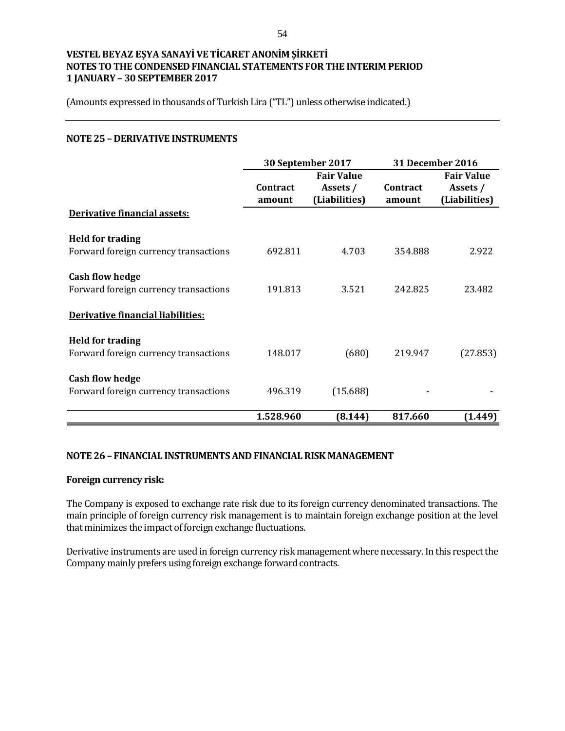(Amounts expressed in thousands of Turkish Lira ("TL") unless otherwise indicated.)

### **NOTE 25 – DERIVATIVE INSTRUMENTS**

|                                                                  | 30 September 2017  |                                                | <b>31 December 2016</b>   |                                                |
|------------------------------------------------------------------|--------------------|------------------------------------------------|---------------------------|------------------------------------------------|
|                                                                  | Contract<br>amount | <b>Fair Value</b><br>Assets /<br>(Liabilities) | <b>Contract</b><br>amount | <b>Fair Value</b><br>Assets /<br>(Liabilities) |
| <b>Derivative financial assets:</b>                              |                    |                                                |                           |                                                |
| <b>Held for trading</b><br>Forward foreign currency transactions | 692.811            | 4.703                                          | 354.888                   | 2.922                                          |
| <b>Cash flow hedge</b><br>Forward foreign currency transactions  | 191.813            | 3.521                                          | 242.825                   | 23.482                                         |
| Derivative financial liabilities:                                |                    |                                                |                           |                                                |
| <b>Held for trading</b><br>Forward foreign currency transactions | 148.017            | (680)                                          | 219.947                   | (27.853)                                       |
| <b>Cash flow hedge</b><br>Forward foreign currency transactions  | 496.319            | (15.688)                                       |                           |                                                |
|                                                                  | 1.528.960          | (8.144)                                        | 817.660                   | (1.449)                                        |

### **NOTE 26 – FINANCIAL INSTRUMENTS AND FINANCIAL RISK MANAGEMENT**

### **Foreign currency risk:**

The Company is exposed to exchange rate risk due to its foreign currency denominated transactions. The main principle of foreign currency risk management is to maintain foreign exchange position at the level that minimizes the impact of foreign exchange fluctuations.

Derivative instruments are used in foreign currency risk management where necessary. In this respect the Company mainly prefers using foreign exchange forward contracts.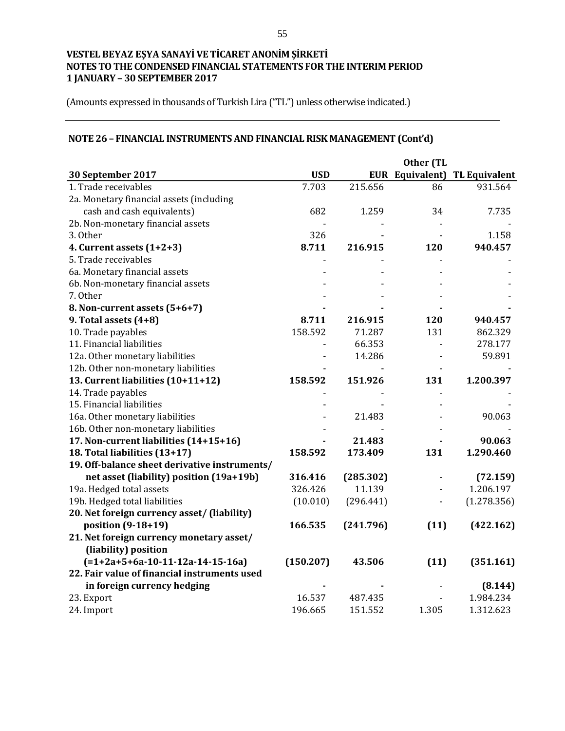(Amounts expressed in thousands of Turkish Lira ("TL") unless otherwise indicated.)

# **NOTE 26 – FINANCIAL INSTRUMENTS AND FINANCIAL RISK MANAGEMENT (Cont'd)**

|                                               |            |           | Other (TL |                                      |
|-----------------------------------------------|------------|-----------|-----------|--------------------------------------|
| 30 September 2017                             | <b>USD</b> |           |           | <b>EUR Equivalent) TL Equivalent</b> |
| 1. Trade receivables                          | 7.703      | 215.656   | 86        | 931.564                              |
| 2a. Monetary financial assets (including      |            |           |           |                                      |
| cash and cash equivalents)                    | 682        | 1.259     | 34        | 7.735                                |
| 2b. Non-monetary financial assets             |            |           |           |                                      |
| 3. Other                                      | 326        |           |           | 1.158                                |
| 4. Current assets $(1+2+3)$                   | 8.711      | 216.915   | 120       | 940.457                              |
| 5. Trade receivables                          |            |           |           |                                      |
| 6a. Monetary financial assets                 |            |           |           |                                      |
| 6b. Non-monetary financial assets             |            |           |           |                                      |
| 7. Other                                      |            |           |           |                                      |
| 8. Non-current assets (5+6+7)                 |            |           |           |                                      |
| 9. Total assets (4+8)                         | 8.711      | 216.915   | 120       | 940.457                              |
| 10. Trade payables                            | 158.592    | 71.287    | 131       | 862.329                              |
| 11. Financial liabilities                     |            | 66.353    |           | 278.177                              |
| 12a. Other monetary liabilities               |            | 14.286    |           | 59.891                               |
| 12b. Other non-monetary liabilities           |            |           |           |                                      |
| 13. Current liabilities (10+11+12)            | 158.592    | 151.926   | 131       | 1.200.397                            |
| 14. Trade payables                            |            |           |           |                                      |
| 15. Financial liabilities                     |            |           |           |                                      |
| 16a. Other monetary liabilities               |            | 21.483    |           | 90.063                               |
| 16b. Other non-monetary liabilities           |            |           |           |                                      |
| 17. Non-current liabilities (14+15+16)        |            | 21.483    |           | 90.063                               |
| 18. Total liabilities (13+17)                 | 158.592    | 173.409   | 131       | 1.290.460                            |
| 19. Off-balance sheet derivative instruments/ |            |           |           |                                      |
| net asset (liability) position (19a+19b)      | 316.416    | (285.302) |           | (72.159)                             |
| 19a. Hedged total assets                      | 326.426    | 11.139    |           | 1.206.197                            |
| 19b. Hedged total liabilities                 | (10.010)   | (296.441) |           | (1.278.356)                          |
| 20. Net foreign currency asset/ (liability)   |            |           |           |                                      |
| position (9-18+19)                            | 166.535    | (241.796) | (11)      | (422.162)                            |
| 21. Net foreign currency monetary asset/      |            |           |           |                                      |
| (liability) position                          |            |           |           |                                      |
| $(=1+2a+5+6a-10-11-12a-14-15-16a)$            | (150.207)  | 43.506    | (11)      | (351.161)                            |
| 22. Fair value of financial instruments used  |            |           |           |                                      |
| in foreign currency hedging                   |            |           |           | (8.144)                              |
| 23. Export                                    | 16.537     | 487.435   |           | 1.984.234                            |
| 24. Import                                    | 196.665    | 151.552   | 1.305     | 1.312.623                            |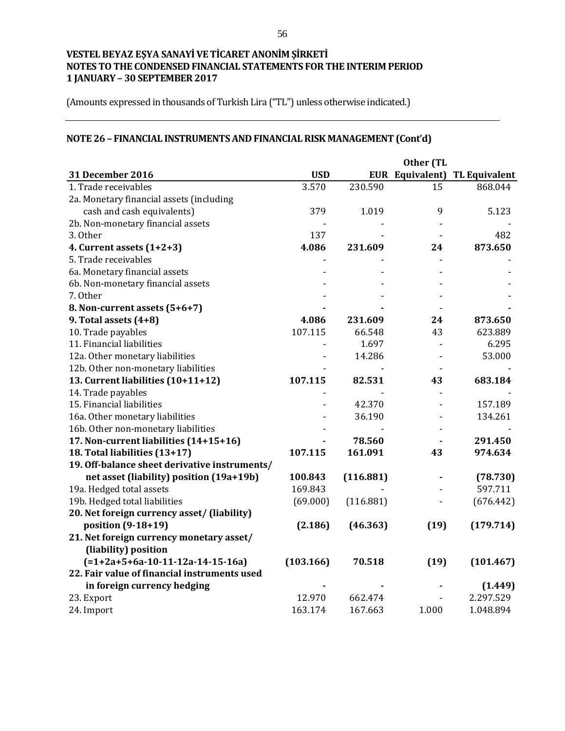(Amounts expressed in thousands of Turkish Lira ("TL") unless otherwise indicated.)

# **NOTE 26 – FINANCIAL INSTRUMENTS AND FINANCIALRISK MANAGEMENT (Cont'd)**

|                                               |            |           | Other (TL |                                      |
|-----------------------------------------------|------------|-----------|-----------|--------------------------------------|
| 31 December 2016                              | <b>USD</b> |           |           | <b>EUR Equivalent) TL Equivalent</b> |
| 1. Trade receivables                          | 3.570      | 230.590   | 15        | 868.044                              |
| 2a. Monetary financial assets (including      |            |           |           |                                      |
| cash and cash equivalents)                    | 379        | 1.019     | 9         | 5.123                                |
| 2b. Non-monetary financial assets             |            |           |           |                                      |
| 3. Other                                      | 137        |           |           | 482                                  |
| 4. Current assets $(1+2+3)$                   | 4.086      | 231.609   | 24        | 873.650                              |
| 5. Trade receivables                          |            |           |           |                                      |
| 6a. Monetary financial assets                 |            |           |           |                                      |
| 6b. Non-monetary financial assets             |            |           |           |                                      |
| 7. Other                                      |            |           |           |                                      |
| 8. Non-current assets (5+6+7)                 |            |           |           |                                      |
| 9. Total assets (4+8)                         | 4.086      | 231.609   | 24        | 873.650                              |
| 10. Trade payables                            | 107.115    | 66.548    | 43        | 623.889                              |
| 11. Financial liabilities                     |            | 1.697     |           | 6.295                                |
| 12a. Other monetary liabilities               |            | 14.286    |           | 53.000                               |
| 12b. Other non-monetary liabilities           |            |           |           |                                      |
| 13. Current liabilities (10+11+12)            | 107.115    | 82.531    | 43        | 683.184                              |
| 14. Trade payables                            |            |           |           |                                      |
| 15. Financial liabilities                     |            | 42.370    |           | 157.189                              |
| 16a. Other monetary liabilities               |            | 36.190    |           | 134.261                              |
| 16b. Other non-monetary liabilities           |            |           |           |                                      |
| 17. Non-current liabilities (14+15+16)        |            | 78.560    |           | 291.450                              |
| 18. Total liabilities (13+17)                 | 107.115    | 161.091   | 43        | 974.634                              |
| 19. Off-balance sheet derivative instruments/ |            |           |           |                                      |
| net asset (liability) position (19a+19b)      | 100.843    | (116.881) |           | (78.730)                             |
| 19a. Hedged total assets                      | 169.843    |           |           | 597.711                              |
| 19b. Hedged total liabilities                 | (69.000)   | (116.881) |           | (676.442)                            |
| 20. Net foreign currency asset/ (liability)   |            |           |           |                                      |
| position (9-18+19)                            | (2.186)    | (46.363)  | (19)      | (179.714)                            |
| 21. Net foreign currency monetary asset/      |            |           |           |                                      |
| (liability) position                          |            |           |           |                                      |
| $(=1+2a+5+6a-10-11-12a-14-15-16a)$            | (103.166)  | 70.518    | (19)      | (101.467)                            |
| 22. Fair value of financial instruments used  |            |           |           |                                      |
| in foreign currency hedging                   |            |           |           | (1.449)                              |
| 23. Export                                    | 12.970     | 662.474   |           | 2.297.529                            |
| 24. Import                                    | 163.174    | 167.663   | 1.000     | 1.048.894                            |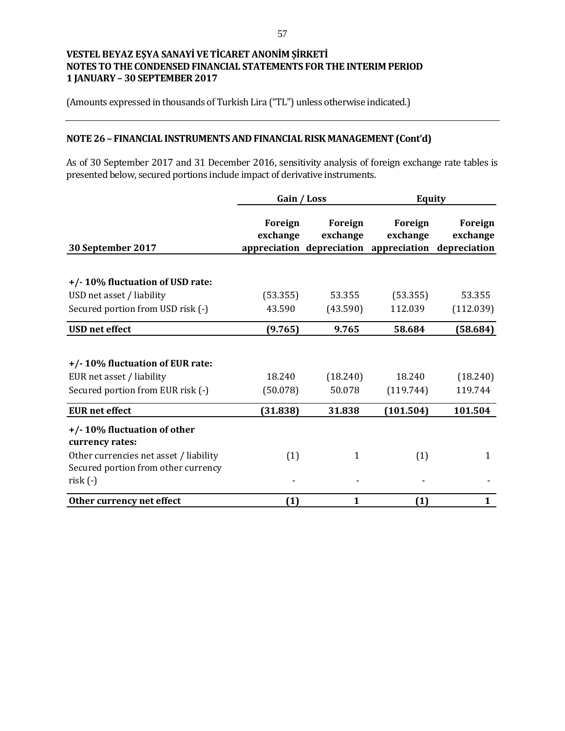(Amounts expressed in thousands of Turkish Lira ("TL") unless otherwise indicated.)

# **NOTE 26 – FINANCIAL INSTRUMENTS AND FINANCIAL RISK MANAGEMENT (Cont'd)**

As of 30 September 2017 and 31 December 2016, sensitivity analysis of foreign exchange rate tables is presented below, secured portions include impact of derivative instruments.

|                                                                                                                                              | Gain / Loss         |                     | <b>Equity</b>                                                              |                     |
|----------------------------------------------------------------------------------------------------------------------------------------------|---------------------|---------------------|----------------------------------------------------------------------------|---------------------|
| 30 September 2017                                                                                                                            | Foreign<br>exchange | Foreign<br>exchange | Foreign<br>exchange<br>appreciation depreciation appreciation depreciation | Foreign<br>exchange |
| +/-10% fluctuation of USD rate:<br>USD net asset / liability                                                                                 | (53.355)            | 53.355              | (53.355)                                                                   | 53.355              |
| Secured portion from USD risk (-)                                                                                                            | 43.590              | (43.590)            | 112.039                                                                    | (112.039)           |
| <b>USD</b> net effect                                                                                                                        | (9.765)             | 9.765               | 58.684                                                                     | (58.684)            |
| +/-10% fluctuation of EUR rate:<br>EUR net asset / liability<br>Secured portion from EUR risk (-)                                            | 18.240<br>(50.078)  | (18.240)<br>50.078  | 18.240<br>(119.744)                                                        | (18.240)<br>119.744 |
| <b>EUR</b> net effect                                                                                                                        | (31.838)            | 31.838              | (101.504)                                                                  | 101.504             |
| +/-10% fluctuation of other<br>currency rates:<br>Other currencies net asset / liability<br>Secured portion from other currency<br>$risk(-)$ | (1)                 | 1                   | (1)                                                                        | 1                   |
| Other currency net effect                                                                                                                    | (1)                 | 1                   | (1)                                                                        | 1                   |